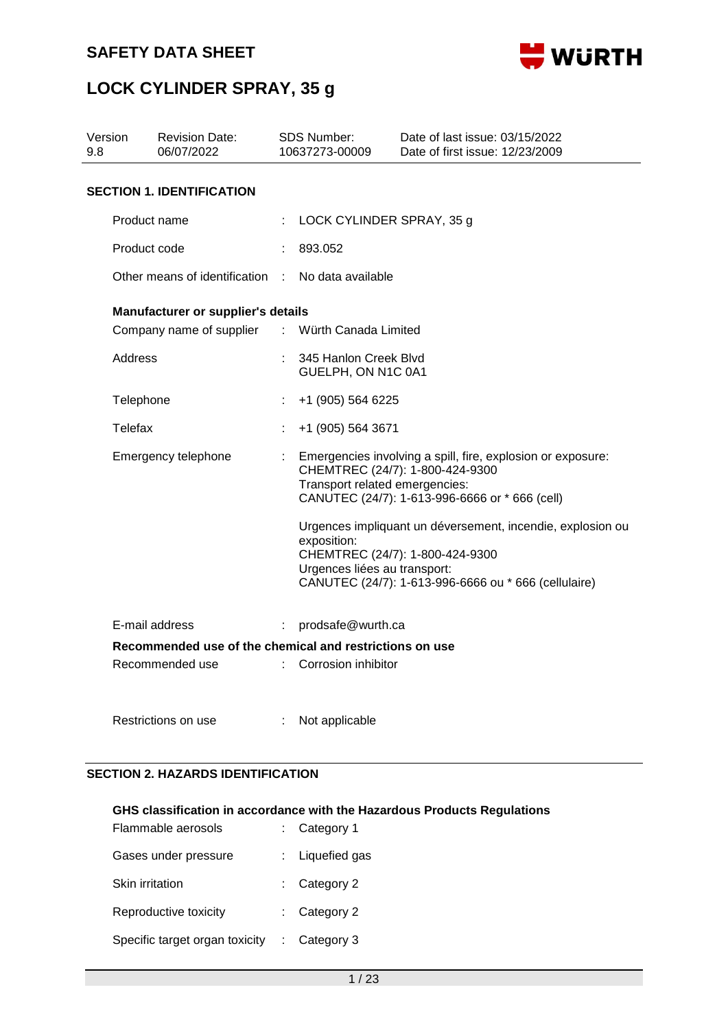



| Version<br>9.8 |                                                                       | <b>Revision Date:</b><br>06/07/2022                     |    | <b>SDS Number:</b><br>10637273-00009        | Date of last issue: 03/15/2022<br>Date of first issue: 12/23/2009                                                                                     |
|----------------|-----------------------------------------------------------------------|---------------------------------------------------------|----|---------------------------------------------|-------------------------------------------------------------------------------------------------------------------------------------------------------|
|                |                                                                       | <b>SECTION 1. IDENTIFICATION</b>                        |    |                                             |                                                                                                                                                       |
|                | Product name                                                          |                                                         |    | LOCK CYLINDER SPRAY, 35 g                   |                                                                                                                                                       |
|                | Product code                                                          |                                                         |    | 893.052                                     |                                                                                                                                                       |
|                | Other means of identification :<br>Manufacturer or supplier's details |                                                         |    | No data available                           |                                                                                                                                                       |
|                |                                                                       |                                                         |    |                                             |                                                                                                                                                       |
|                |                                                                       | Company name of supplier                                |    | : Würth Canada Limited                      |                                                                                                                                                       |
|                | Address                                                               |                                                         |    | 345 Hanlon Creek Blvd<br>GUELPH, ON N1C 0A1 |                                                                                                                                                       |
|                | Telephone                                                             |                                                         |    | +1 (905) 564 6225                           |                                                                                                                                                       |
|                | Telefax                                                               |                                                         |    | +1 (905) 564 3671                           |                                                                                                                                                       |
|                |                                                                       | Emergency telephone                                     | ÷. | Transport related emergencies:              | Emergencies involving a spill, fire, explosion or exposure:<br>CHEMTREC (24/7): 1-800-424-9300<br>CANUTEC (24/7): 1-613-996-6666 or * 666 (cell)      |
|                |                                                                       |                                                         |    | exposition:<br>Urgences liées au transport: | Urgences impliquant un déversement, incendie, explosion ou<br>CHEMTREC (24/7): 1-800-424-9300<br>CANUTEC (24/7): 1-613-996-6666 ou * 666 (cellulaire) |
|                | E-mail address                                                        |                                                         | ÷  | prodsafe@wurth.ca                           |                                                                                                                                                       |
|                |                                                                       | Recommended use of the chemical and restrictions on use |    |                                             |                                                                                                                                                       |
|                |                                                                       | Recommended use                                         | t. | Corrosion inhibitor                         |                                                                                                                                                       |

Restrictions on use : Not applicable

### **SECTION 2. HAZARDS IDENTIFICATION**

### **GHS classification in accordance with the Hazardous Products Regulations**

| Flammable aerosols             | $:$ Category 1          |
|--------------------------------|-------------------------|
| Gases under pressure           | : Liquefied gas         |
| Skin irritation                | $:$ Category 2          |
| Reproductive toxicity          | $\therefore$ Category 2 |
| Specific target organ toxicity | $\therefore$ Category 3 |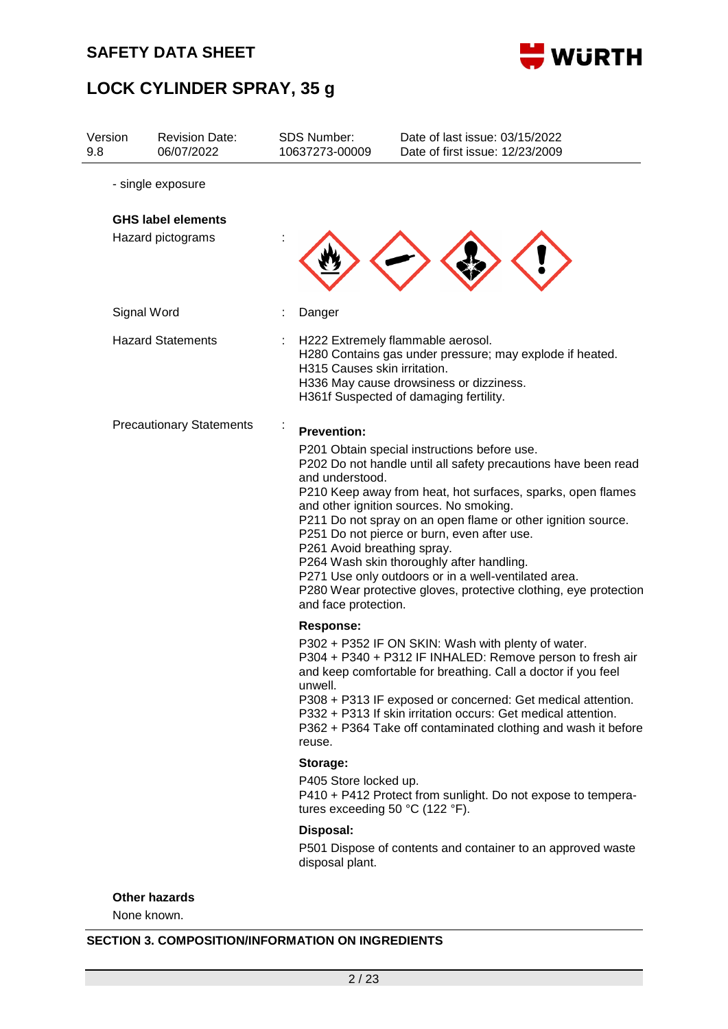



| Version<br>9.8 |             | <b>Revision Date:</b><br>06/07/2022            | <b>SDS Number:</b><br>10637273-00009                                                                                     | Date of last issue: 03/15/2022<br>Date of first issue: 12/23/2009                                                                                                                                                                                                                                                                                                                                                                                                                                                |
|----------------|-------------|------------------------------------------------|--------------------------------------------------------------------------------------------------------------------------|------------------------------------------------------------------------------------------------------------------------------------------------------------------------------------------------------------------------------------------------------------------------------------------------------------------------------------------------------------------------------------------------------------------------------------------------------------------------------------------------------------------|
|                |             | - single exposure                              |                                                                                                                          |                                                                                                                                                                                                                                                                                                                                                                                                                                                                                                                  |
|                |             | <b>GHS label elements</b><br>Hazard pictograms |                                                                                                                          |                                                                                                                                                                                                                                                                                                                                                                                                                                                                                                                  |
|                | Signal Word |                                                | Danger                                                                                                                   |                                                                                                                                                                                                                                                                                                                                                                                                                                                                                                                  |
|                |             | <b>Hazard Statements</b>                       | H315 Causes skin irritation.                                                                                             | H222 Extremely flammable aerosol.<br>H280 Contains gas under pressure; may explode if heated.<br>H336 May cause drowsiness or dizziness.<br>H361f Suspected of damaging fertility.                                                                                                                                                                                                                                                                                                                               |
|                |             | <b>Precautionary Statements</b>                | <b>Prevention:</b><br>and understood.<br>P261 Avoid breathing spray.<br>and face protection.                             | P201 Obtain special instructions before use.<br>P202 Do not handle until all safety precautions have been read<br>P210 Keep away from heat, hot surfaces, sparks, open flames<br>and other ignition sources. No smoking.<br>P211 Do not spray on an open flame or other ignition source.<br>P251 Do not pierce or burn, even after use.<br>P264 Wash skin thoroughly after handling.<br>P271 Use only outdoors or in a well-ventilated area.<br>P280 Wear protective gloves, protective clothing, eye protection |
|                |             |                                                | <b>Response:</b><br>unwell.<br>reuse.                                                                                    | P302 + P352 IF ON SKIN: Wash with plenty of water.<br>P304 + P340 + P312 IF INHALED: Remove person to fresh air<br>and keep comfortable for breathing. Call a doctor if you feel<br>P308 + P313 IF exposed or concerned: Get medical attention.<br>P332 + P313 If skin irritation occurs: Get medical attention.<br>P362 + P364 Take off contaminated clothing and wash it before                                                                                                                                |
|                |             |                                                | Storage:<br>P405 Store locked up.<br>tures exceeding 50 $^{\circ}$ C (122 $^{\circ}$ F).<br>Disposal:<br>disposal plant. | P410 + P412 Protect from sunlight. Do not expose to tempera-<br>P501 Dispose of contents and container to an approved waste                                                                                                                                                                                                                                                                                                                                                                                      |

### **Other hazards**

None known.

### **SECTION 3. COMPOSITION/INFORMATION ON INGREDIENTS**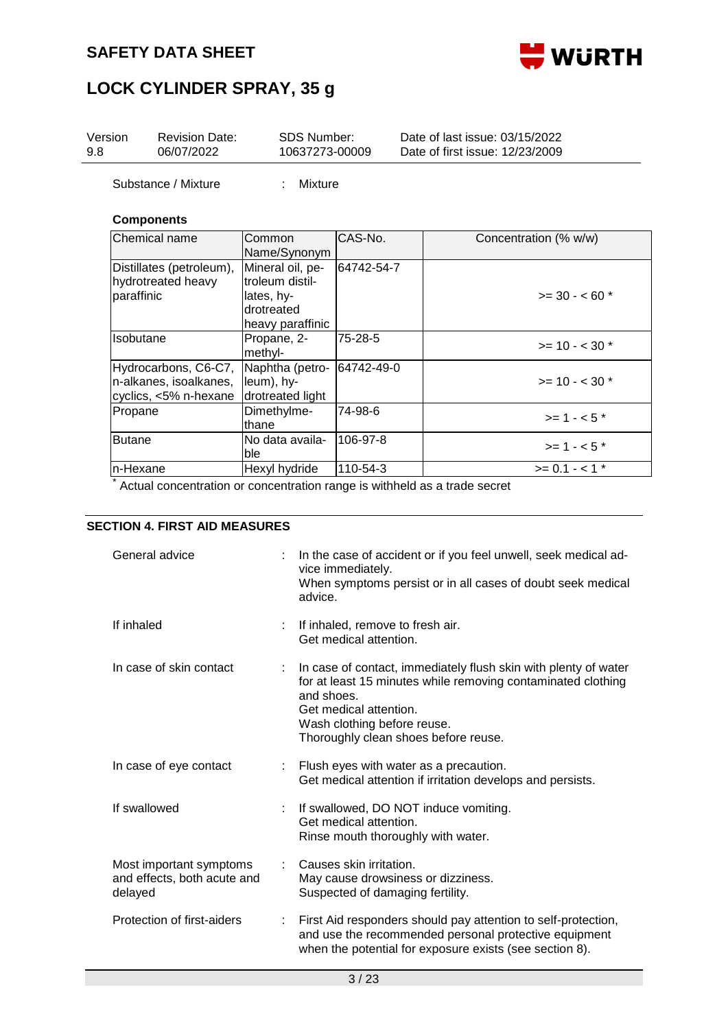

## **LOCK CYLINDER SPRAY, 35 g**

| Version<br>9.8 | <b>Revision Date:</b><br>06/07/2022                                     | SDS Number:<br>10637273-00009                                                       |            | Date of last issue: 03/15/2022<br>Date of first issue: 12/23/2009 |
|----------------|-------------------------------------------------------------------------|-------------------------------------------------------------------------------------|------------|-------------------------------------------------------------------|
|                | Substance / Mixture                                                     | Mixture                                                                             |            |                                                                   |
|                | <b>Components</b>                                                       |                                                                                     |            |                                                                   |
|                | Chemical name                                                           | Common<br>Name/Synonym                                                              | CAS-No.    | Concentration (% w/w)                                             |
| paraffinic     | Distillates (petroleum),<br>hydrotreated heavy                          | Mineral oil, pe-<br>troleum distil-<br>lates, hy-<br>drotreated<br>heavy paraffinic | 64742-54-7 | $>=$ 30 - < 60 $*$                                                |
| Isobutane      |                                                                         | Propane, 2-<br>methyl-                                                              | 75-28-5    | $>= 10 - < 30$ *                                                  |
|                | Hydrocarbons, C6-C7,<br>n-alkanes, isoalkanes,<br>cyclics, <5% n-hexane | Naphtha (petro-<br>leum), hy-<br>drotreated light                                   | 64742-49-0 | $>= 10 - < 30$ *                                                  |
| Propane        |                                                                         | Dimethylme-<br>lthane                                                               | 74-98-6    | $>= 1 - 5$ *                                                      |
| <b>Butane</b>  |                                                                         | No data availa-<br>ble                                                              | 106-97-8   | $>= 1 - 5$ *                                                      |
| n-Hexane       |                                                                         | Hexyl hydride                                                                       | 110-54-3   | $>= 0.1 - 1$ *                                                    |

\* Actual concentration or concentration range is withheld as a trade secret

### **SECTION 4. FIRST AID MEASURES**

| General advice                                                    | In the case of accident or if you feel unwell, seek medical ad-<br>vice immediately.                                                                                                                                                           |
|-------------------------------------------------------------------|------------------------------------------------------------------------------------------------------------------------------------------------------------------------------------------------------------------------------------------------|
|                                                                   | When symptoms persist or in all cases of doubt seek medical<br>advice.                                                                                                                                                                         |
| If inhaled                                                        | If inhaled, remove to fresh air.<br>Get medical attention.                                                                                                                                                                                     |
| In case of skin contact                                           | In case of contact, immediately flush skin with plenty of water<br>for at least 15 minutes while removing contaminated clothing<br>and shoes.<br>Get medical attention.<br>Wash clothing before reuse.<br>Thoroughly clean shoes before reuse. |
| In case of eye contact                                            | : Flush eyes with water as a precaution.<br>Get medical attention if irritation develops and persists.                                                                                                                                         |
| If swallowed                                                      | If swallowed, DO NOT induce vomiting.<br>Get medical attention.<br>Rinse mouth thoroughly with water.                                                                                                                                          |
| Most important symptoms<br>and effects, both acute and<br>delayed | Causes skin irritation.<br>May cause drowsiness or dizziness.<br>Suspected of damaging fertility.                                                                                                                                              |
| Protection of first-aiders                                        | First Aid responders should pay attention to self-protection,<br>and use the recommended personal protective equipment<br>when the potential for exposure exists (see section 8).                                                              |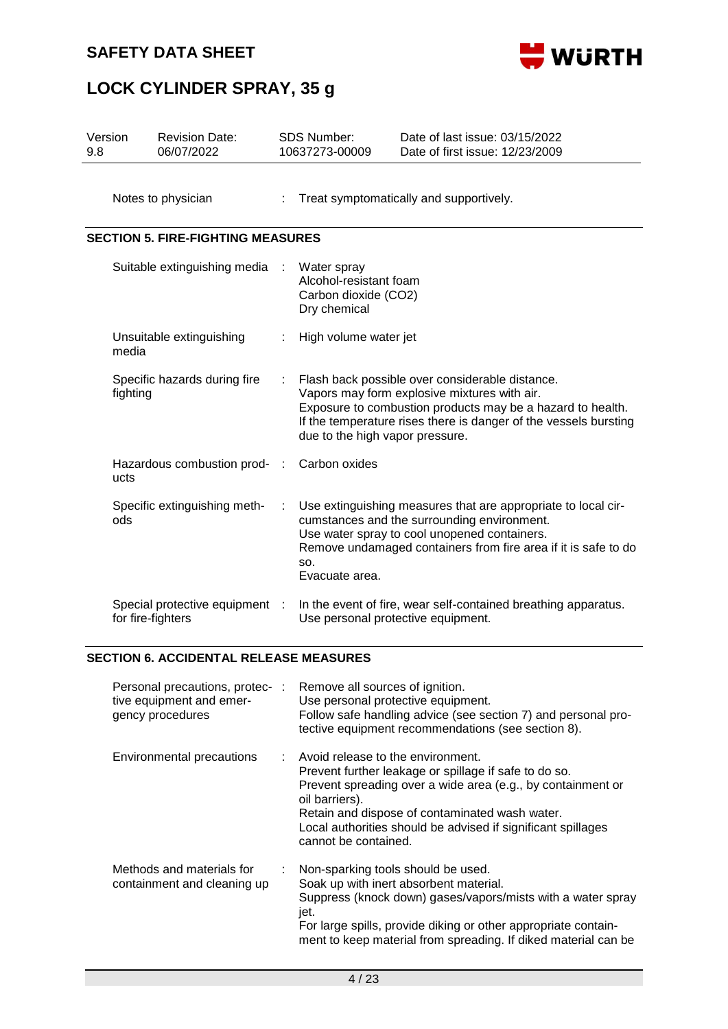

## **LOCK CYLINDER SPRAY, 35 g**

| Version<br>9.8 |                                          | <b>Revision Date:</b><br>06/07/2022                 |  | <b>SDS Number:</b><br>10637273-00009                                                                                                                                                                                                                                 | Date of last issue: 03/15/2022<br>Date of first issue: 12/23/2009                                                                                                                                                              |  |  |  |  |
|----------------|------------------------------------------|-----------------------------------------------------|--|----------------------------------------------------------------------------------------------------------------------------------------------------------------------------------------------------------------------------------------------------------------------|--------------------------------------------------------------------------------------------------------------------------------------------------------------------------------------------------------------------------------|--|--|--|--|
|                |                                          | Notes to physician                                  |  |                                                                                                                                                                                                                                                                      | Treat symptomatically and supportively.                                                                                                                                                                                        |  |  |  |  |
|                | <b>SECTION 5. FIRE-FIGHTING MEASURES</b> |                                                     |  |                                                                                                                                                                                                                                                                      |                                                                                                                                                                                                                                |  |  |  |  |
|                |                                          | Suitable extinguishing media                        |  | Water spray<br>Alcohol-resistant foam<br>Carbon dioxide (CO2)<br>Dry chemical                                                                                                                                                                                        |                                                                                                                                                                                                                                |  |  |  |  |
|                | Unsuitable extinguishing<br>media        |                                                     |  | High volume water jet                                                                                                                                                                                                                                                |                                                                                                                                                                                                                                |  |  |  |  |
|                | Specific hazards during fire<br>fighting |                                                     |  | Flash back possible over considerable distance.<br>Vapors may form explosive mixtures with air.<br>Exposure to combustion products may be a hazard to health.<br>If the temperature rises there is danger of the vessels bursting<br>due to the high vapor pressure. |                                                                                                                                                                                                                                |  |  |  |  |
|                | Hazardous combustion prod-<br>ucts       |                                                     |  | Carbon oxides                                                                                                                                                                                                                                                        |                                                                                                                                                                                                                                |  |  |  |  |
|                | ods                                      | Specific extinguishing meth-                        |  | SO.<br>Evacuate area.                                                                                                                                                                                                                                                | Use extinguishing measures that are appropriate to local cir-<br>cumstances and the surrounding environment.<br>Use water spray to cool unopened containers.<br>Remove undamaged containers from fire area if it is safe to do |  |  |  |  |
|                |                                          | Special protective equipment :<br>for fire-fighters |  |                                                                                                                                                                                                                                                                      | In the event of fire, wear self-contained breathing apparatus.<br>Use personal protective equipment.                                                                                                                           |  |  |  |  |

### **SECTION 6. ACCIDENTAL RELEASE MEASURES**

| Personal precautions, protec- :<br>tive equipment and emer-<br>gency procedures |    | Remove all sources of ignition.<br>Use personal protective equipment.<br>Follow safe handling advice (see section 7) and personal pro-<br>tective equipment recommendations (see section 8).                                                                                                                            |
|---------------------------------------------------------------------------------|----|-------------------------------------------------------------------------------------------------------------------------------------------------------------------------------------------------------------------------------------------------------------------------------------------------------------------------|
| Environmental precautions                                                       |    | : Avoid release to the environment.<br>Prevent further leakage or spillage if safe to do so.<br>Prevent spreading over a wide area (e.g., by containment or<br>oil barriers).<br>Retain and dispose of contaminated wash water.<br>Local authorities should be advised if significant spillages<br>cannot be contained. |
| Methods and materials for<br>containment and cleaning up                        | t. | Non-sparking tools should be used.<br>Soak up with inert absorbent material.<br>Suppress (knock down) gases/vapors/mists with a water spray<br>jet.<br>For large spills, provide diking or other appropriate contain-<br>ment to keep material from spreading. If diked material can be                                 |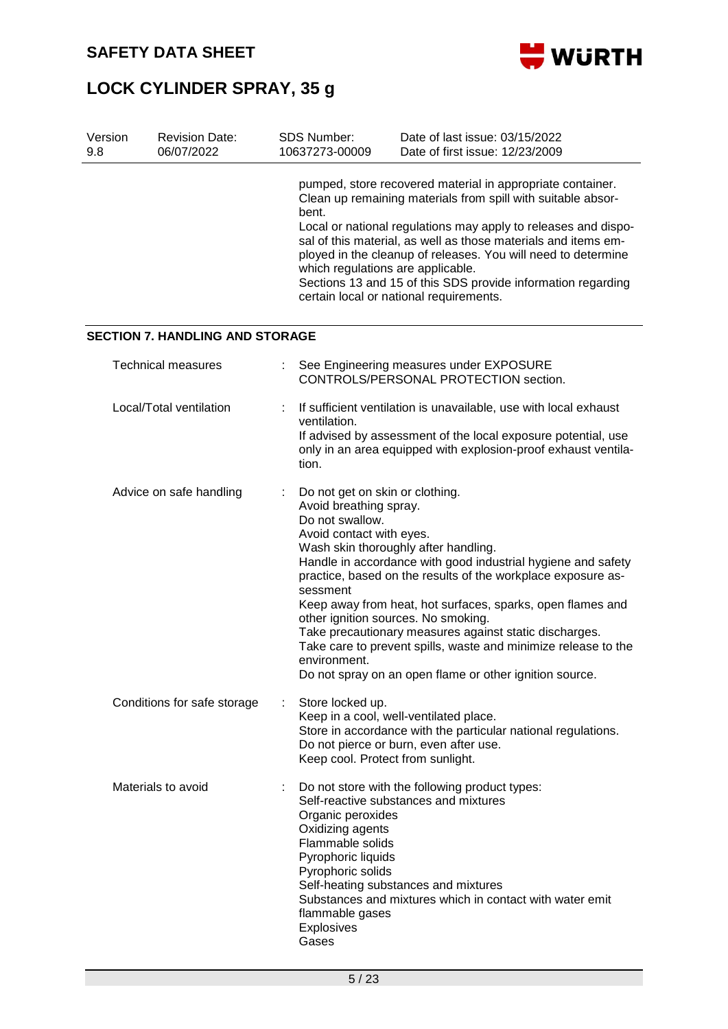



| Version<br>9.8 | <b>Revision Date:</b><br>06/07/2022    |   | <b>SDS Number:</b><br>10637273-00009                                                                                                                                        | Date of last issue: 03/15/2022<br>Date of first issue: 12/23/2009                                                                                                                                                                                                                                                                                                                                                                          |
|----------------|----------------------------------------|---|-----------------------------------------------------------------------------------------------------------------------------------------------------------------------------|--------------------------------------------------------------------------------------------------------------------------------------------------------------------------------------------------------------------------------------------------------------------------------------------------------------------------------------------------------------------------------------------------------------------------------------------|
|                |                                        |   | bent.<br>which regulations are applicable.                                                                                                                                  | pumped, store recovered material in appropriate container.<br>Clean up remaining materials from spill with suitable absor-<br>Local or national regulations may apply to releases and dispo-<br>sal of this material, as well as those materials and items em-<br>ployed in the cleanup of releases. You will need to determine<br>Sections 13 and 15 of this SDS provide information regarding<br>certain local or national requirements. |
|                | <b>SECTION 7. HANDLING AND STORAGE</b> |   |                                                                                                                                                                             |                                                                                                                                                                                                                                                                                                                                                                                                                                            |
|                | <b>Technical measures</b>              |   |                                                                                                                                                                             | See Engineering measures under EXPOSURE<br>CONTROLS/PERSONAL PROTECTION section.                                                                                                                                                                                                                                                                                                                                                           |
|                | Local/Total ventilation                |   | ventilation.<br>tion.                                                                                                                                                       | If sufficient ventilation is unavailable, use with local exhaust<br>If advised by assessment of the local exposure potential, use<br>only in an area equipped with explosion-proof exhaust ventila-                                                                                                                                                                                                                                        |
|                | Advice on safe handling                |   | Do not get on skin or clothing.<br>Avoid breathing spray.<br>Do not swallow.<br>Avoid contact with eyes.<br>sessment<br>other ignition sources. No smoking.<br>environment. | Wash skin thoroughly after handling.<br>Handle in accordance with good industrial hygiene and safety<br>practice, based on the results of the workplace exposure as-<br>Keep away from heat, hot surfaces, sparks, open flames and<br>Take precautionary measures against static discharges.<br>Take care to prevent spills, waste and minimize release to the<br>Do not spray on an open flame or other ignition source.                  |
|                | Conditions for safe storage            |   | Store locked up.<br>Keep cool. Protect from sunlight.                                                                                                                       | Keep in a cool, well-ventilated place.<br>Store in accordance with the particular national regulations.<br>Do not pierce or burn, even after use.                                                                                                                                                                                                                                                                                          |
|                | Materials to avoid                     | ÷ | Organic peroxides<br>Oxidizing agents<br>Flammable solids<br>Pyrophoric liquids<br>Pyrophoric solids<br>flammable gases<br><b>Explosives</b><br>Gases                       | Do not store with the following product types:<br>Self-reactive substances and mixtures<br>Self-heating substances and mixtures<br>Substances and mixtures which in contact with water emit                                                                                                                                                                                                                                                |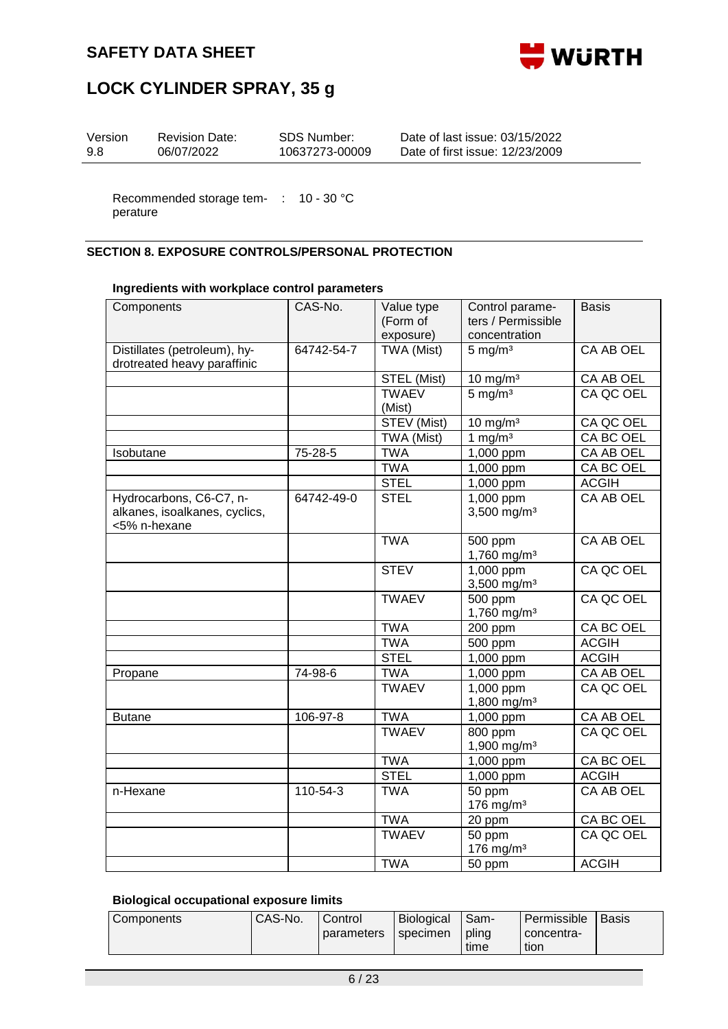



| Version<br>SDS Number:<br><b>Revision Date:</b><br>Date of first issue: 12/23/2009<br>06/07/2022<br>9.8<br>10637273-00009 | Date of last issue: 03/15/2022 |
|---------------------------------------------------------------------------------------------------------------------------|--------------------------------|
|---------------------------------------------------------------------------------------------------------------------------|--------------------------------|

Recommended storage tem- : 10 - 30 °C perature

### **SECTION 8. EXPOSURE CONTROLS/PERSONAL PROTECTION**

### **Ingredients with workplace control parameters**

| Components                                                  | CAS-No.    | Value type<br>(Form of<br>exposure) | Control parame-<br>ters / Permissible<br>concentration | <b>Basis</b>     |
|-------------------------------------------------------------|------------|-------------------------------------|--------------------------------------------------------|------------------|
| Distillates (petroleum), hy-<br>drotreated heavy paraffinic | 64742-54-7 | TWA (Mist)                          | $5 \text{ mg/m}^3$                                     | <b>CA AB OEL</b> |
|                                                             |            | STEL (Mist)                         | $10 \text{ mg/m}^3$                                    | CA AB OEL        |
|                                                             |            | <b>TWAEV</b>                        | 5 mg/m <sup>3</sup>                                    | CA QC OEL        |
|                                                             |            | (Mist)                              |                                                        |                  |
|                                                             |            | STEV (Mist)                         | $10 \text{ mg/m}^3$                                    | CA QC OEL        |
|                                                             |            | TWA (Mist)                          | 1 mg/m <sup>3</sup>                                    | <b>CA BC OEL</b> |
| Isobutane                                                   | 75-28-5    | <b>TWA</b>                          | 1,000 ppm                                              | CA AB OEL        |
|                                                             |            | <b>TWA</b>                          | 1,000 ppm                                              | CA BC OEL        |
|                                                             |            | <b>STEL</b>                         | 1,000 ppm                                              | <b>ACGIH</b>     |
| Hydrocarbons, C6-C7, n-                                     | 64742-49-0 | <b>STEL</b>                         | 1,000 ppm                                              | CA AB OEL        |
| alkanes, isoalkanes, cyclics,<br><5% n-hexane               |            |                                     | 3,500 mg/m <sup>3</sup>                                |                  |
|                                                             |            | <b>TWA</b>                          | 500 ppm                                                | CA AB OEL        |
|                                                             |            |                                     | 1,760 mg/m <sup>3</sup>                                |                  |
|                                                             |            | <b>STEV</b>                         | $1,000$ ppm                                            | CA QC OEL        |
|                                                             |            |                                     | 3,500 mg/m <sup>3</sup>                                |                  |
|                                                             |            | <b>TWAEV</b>                        | 500 ppm                                                | CA QC OEL        |
|                                                             |            |                                     | 1,760 mg/m <sup>3</sup>                                |                  |
|                                                             |            | <b>TWA</b>                          | 200 ppm                                                | CA BC OEL        |
|                                                             |            | <b>TWA</b>                          | 500 ppm                                                | <b>ACGIH</b>     |
|                                                             |            | <b>STEL</b>                         | 1,000 ppm                                              | <b>ACGIH</b>     |
| Propane                                                     | 74-98-6    | <b>TWA</b>                          | 1,000 ppm                                              | CA AB OEL        |
|                                                             |            | <b>TWAEV</b>                        | 1,000 ppm<br>1,800 mg/m <sup>3</sup>                   | CA QC OEL        |
| <b>Butane</b>                                               | 106-97-8   | <b>TWA</b>                          | 1,000 ppm                                              | CA AB OEL        |
|                                                             |            | <b>TWAEV</b>                        | $\overline{800}$ ppm<br>1,900 mg/m <sup>3</sup>        | CA QC OEL        |
|                                                             |            | <b>TWA</b>                          | 1,000 ppm                                              | <b>CA BC OEL</b> |
|                                                             |            | <b>STEL</b>                         | 1,000 ppm                                              | <b>ACGIH</b>     |
| n-Hexane                                                    | 110-54-3   | <b>TWA</b>                          | 50 ppm                                                 | CA AB OEL        |
|                                                             |            |                                     | 176 mg/m <sup>3</sup>                                  |                  |
|                                                             |            | <b>TWA</b>                          | 20 ppm                                                 | CA BC OEL        |
|                                                             |            | <b>TWAEV</b>                        | 50 ppm<br>176 mg/m <sup>3</sup>                        | CA QC OEL        |
|                                                             |            | <b>TWA</b>                          | 50 ppm                                                 | <b>ACGIH</b>     |

### **Biological occupational exposure limits**

| Components | CAS-No. | Control    | Biological | I Sam- | Permissible | <b>Basis</b> |
|------------|---------|------------|------------|--------|-------------|--------------|
|            |         | parameters | specimen   | plina  | concentra-  |              |
|            |         |            |            | time   | tion        |              |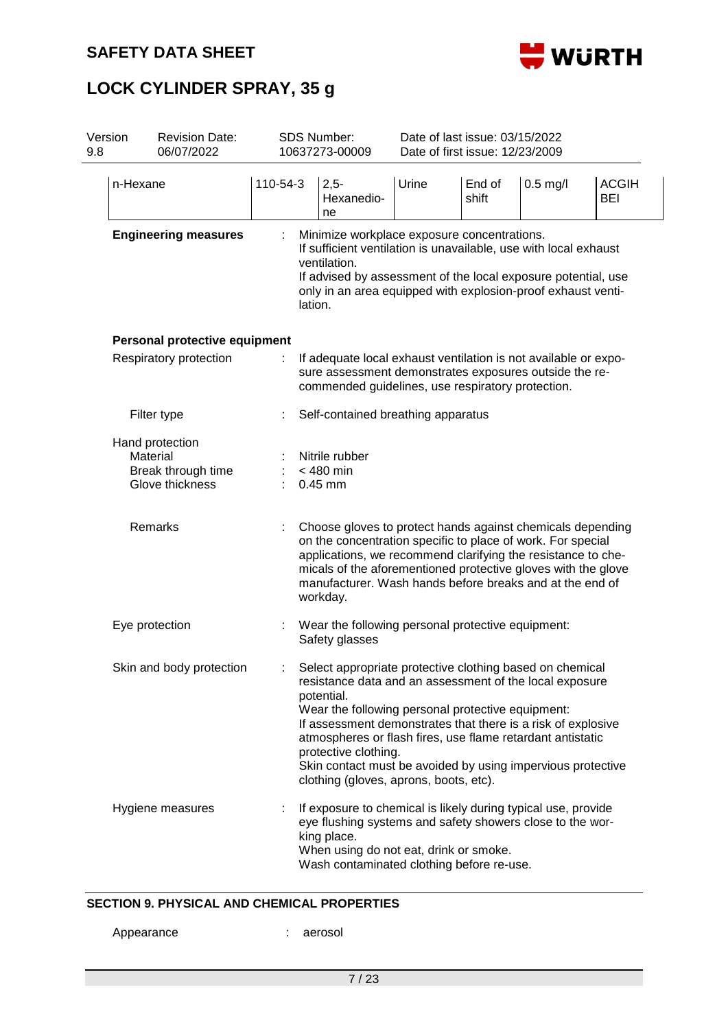

| Version<br>9.8 |                             | <b>Revision Date:</b><br>06/07/2022                      |          |                                                                                                                                                                                                                                                                             | <b>SDS Number:</b><br>10637273-00009                                                                                                                                                                                                                                                                                                                                                                                                                  | Date of last issue: 03/15/2022<br>Date of first issue: 12/23/2009 |                 |            |                            |  |  |  |  |
|----------------|-----------------------------|----------------------------------------------------------|----------|-----------------------------------------------------------------------------------------------------------------------------------------------------------------------------------------------------------------------------------------------------------------------------|-------------------------------------------------------------------------------------------------------------------------------------------------------------------------------------------------------------------------------------------------------------------------------------------------------------------------------------------------------------------------------------------------------------------------------------------------------|-------------------------------------------------------------------|-----------------|------------|----------------------------|--|--|--|--|
|                | n-Hexane                    |                                                          | 110-54-3 |                                                                                                                                                                                                                                                                             | $2,5-$<br>Hexanedio-<br>ne                                                                                                                                                                                                                                                                                                                                                                                                                            | Urine                                                             | End of<br>shift | $0.5$ mg/l | <b>ACGIH</b><br><b>BEI</b> |  |  |  |  |
|                | <b>Engineering measures</b> |                                                          |          | Minimize workplace exposure concentrations.<br>If sufficient ventilation is unavailable, use with local exhaust<br>ventilation.<br>If advised by assessment of the local exposure potential, use<br>only in an area equipped with explosion-proof exhaust venti-<br>lation. |                                                                                                                                                                                                                                                                                                                                                                                                                                                       |                                                                   |                 |            |                            |  |  |  |  |
|                |                             | Personal protective equipment                            |          |                                                                                                                                                                                                                                                                             |                                                                                                                                                                                                                                                                                                                                                                                                                                                       |                                                                   |                 |            |                            |  |  |  |  |
|                | Respiratory protection      | ÷                                                        |          | If adequate local exhaust ventilation is not available or expo-<br>sure assessment demonstrates exposures outside the re-<br>commended guidelines, use respiratory protection.                                                                                              |                                                                                                                                                                                                                                                                                                                                                                                                                                                       |                                                                   |                 |            |                            |  |  |  |  |
|                |                             | Filter type                                              |          |                                                                                                                                                                                                                                                                             | Self-contained breathing apparatus                                                                                                                                                                                                                                                                                                                                                                                                                    |                                                                   |                 |            |                            |  |  |  |  |
|                | Material                    | Hand protection<br>Break through time<br>Glove thickness |          |                                                                                                                                                                                                                                                                             | Nitrile rubber<br>$<$ 480 min<br>$0.45$ mm                                                                                                                                                                                                                                                                                                                                                                                                            |                                                                   |                 |            |                            |  |  |  |  |
|                | Remarks                     |                                                          |          |                                                                                                                                                                                                                                                                             | Choose gloves to protect hands against chemicals depending<br>on the concentration specific to place of work. For special<br>applications, we recommend clarifying the resistance to che-<br>micals of the aforementioned protective gloves with the glove<br>manufacturer. Wash hands before breaks and at the end of<br>workday.                                                                                                                    |                                                                   |                 |            |                            |  |  |  |  |
|                | Eye protection              |                                                          |          |                                                                                                                                                                                                                                                                             | Wear the following personal protective equipment:<br>Safety glasses                                                                                                                                                                                                                                                                                                                                                                                   |                                                                   |                 |            |                            |  |  |  |  |
|                |                             | Skin and body protection                                 |          |                                                                                                                                                                                                                                                                             | Select appropriate protective clothing based on chemical<br>resistance data and an assessment of the local exposure<br>potential.<br>Wear the following personal protective equipment:<br>If assessment demonstrates that there is a risk of explosive<br>atmospheres or flash fires, use flame retardant antistatic<br>protective clothing.<br>Skin contact must be avoided by using impervious protective<br>clothing (gloves, aprons, boots, etc). |                                                                   |                 |            |                            |  |  |  |  |
|                |                             | Hygiene measures                                         |          |                                                                                                                                                                                                                                                                             | If exposure to chemical is likely during typical use, provide<br>eye flushing systems and safety showers close to the wor-<br>king place.<br>When using do not eat, drink or smoke.<br>Wash contaminated clothing before re-use.                                                                                                                                                                                                                      |                                                                   |                 |            |                            |  |  |  |  |

### **SECTION 9. PHYSICAL AND CHEMICAL PROPERTIES**

Appearance : aerosol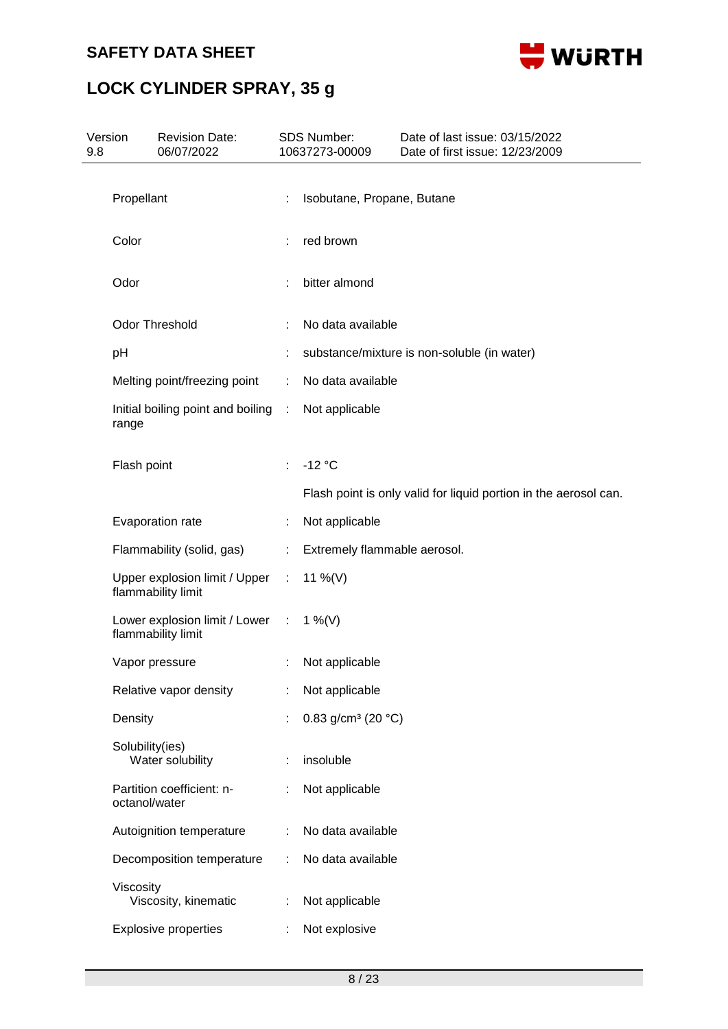

| Version<br>9.8 |                 | <b>Revision Date:</b><br>06/07/2022                   |           | SDS Number:<br>10637273-00009     | Date of last issue: 03/15/2022<br>Date of first issue: 12/23/2009 |
|----------------|-----------------|-------------------------------------------------------|-----------|-----------------------------------|-------------------------------------------------------------------|
|                | Propellant      |                                                       | ÷         | Isobutane, Propane, Butane        |                                                                   |
|                |                 |                                                       |           |                                   |                                                                   |
|                | Color           |                                                       |           | red brown                         |                                                                   |
|                | Odor            |                                                       |           | bitter almond                     |                                                                   |
|                |                 | Odor Threshold                                        |           | No data available                 |                                                                   |
|                | pH              |                                                       |           |                                   | substance/mixture is non-soluble (in water)                       |
|                |                 | Melting point/freezing point                          | ÷         | No data available                 |                                                                   |
|                | range           | Initial boiling point and boiling                     | $\sim 10$ | Not applicable                    |                                                                   |
|                | Flash point     |                                                       |           | $-12$ °C                          |                                                                   |
|                |                 |                                                       |           |                                   | Flash point is only valid for liquid portion in the aerosol can.  |
|                |                 | Evaporation rate                                      |           | Not applicable                    |                                                                   |
|                |                 | Flammability (solid, gas)                             | ÷.        | Extremely flammable aerosol.      |                                                                   |
|                |                 | Upper explosion limit / Upper :<br>flammability limit |           | 11 %(V)                           |                                                                   |
|                |                 | Lower explosion limit / Lower :<br>flammability limit |           | 1 %(V)                            |                                                                   |
|                |                 | Vapor pressure                                        |           | Not applicable                    |                                                                   |
|                |                 | Relative vapor density                                |           | Not applicable                    |                                                                   |
|                | Density         |                                                       |           | 0.83 g/cm <sup>3</sup> (20 $°C$ ) |                                                                   |
|                | Solubility(ies) | Water solubility                                      |           | insoluble                         |                                                                   |
|                | octanol/water   | Partition coefficient: n-                             |           | Not applicable                    |                                                                   |
|                |                 | Autoignition temperature                              |           | No data available                 |                                                                   |
|                |                 | Decomposition temperature                             | ÷         | No data available                 |                                                                   |
|                | Viscosity       | Viscosity, kinematic                                  |           | Not applicable                    |                                                                   |
|                |                 | <b>Explosive properties</b>                           |           | Not explosive                     |                                                                   |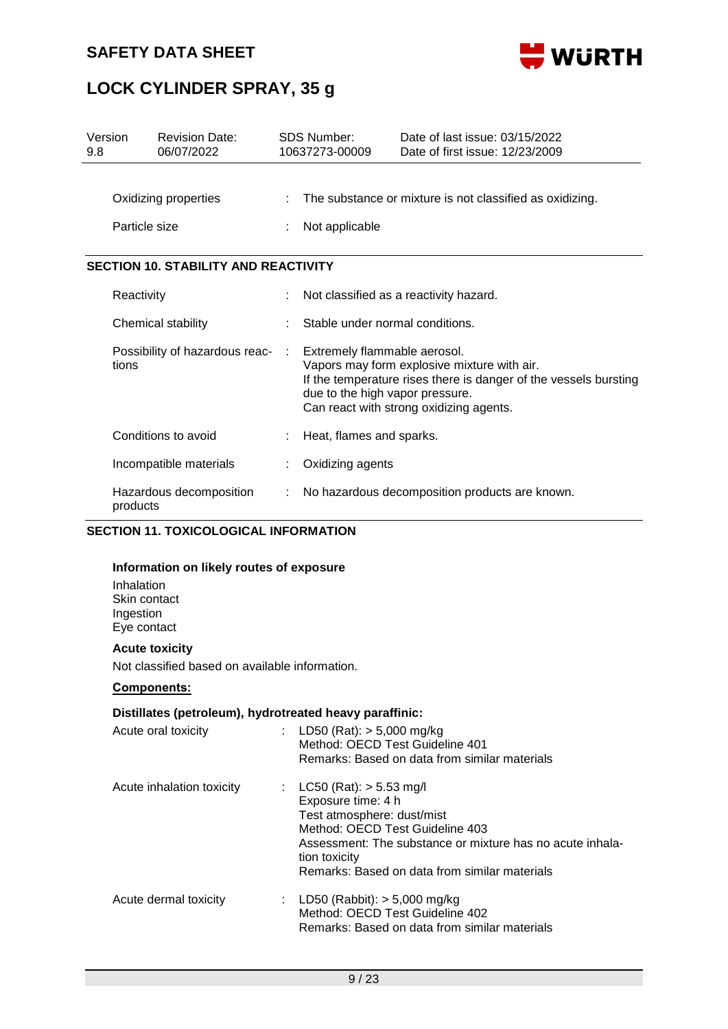

## **LOCK CYLINDER SPRAY, 35 g**

| Version<br>9.8                        |                                         | <b>Revision Date:</b><br>06/07/2022                                        | <b>SDS Number:</b><br>10637273-00009                                                                                                                                                                                          | Date of last issue: 03/15/2022<br>Date of first issue: 12/23/2009 |  |
|---------------------------------------|-----------------------------------------|----------------------------------------------------------------------------|-------------------------------------------------------------------------------------------------------------------------------------------------------------------------------------------------------------------------------|-------------------------------------------------------------------|--|
| Oxidizing properties<br>Particle size |                                         | The substance or mixture is not classified as oxidizing.<br>Not applicable |                                                                                                                                                                                                                               |                                                                   |  |
|                                       |                                         | <b>SECTION 10. STABILITY AND REACTIVITY</b>                                |                                                                                                                                                                                                                               |                                                                   |  |
|                                       | Reactivity                              |                                                                            | Not classified as a reactivity hazard.                                                                                                                                                                                        |                                                                   |  |
|                                       | Chemical stability                      |                                                                            | Stable under normal conditions.                                                                                                                                                                                               |                                                                   |  |
|                                       | Possibility of hazardous reac-<br>tions |                                                                            | Extremely flammable aerosol.<br>Vapors may form explosive mixture with air.<br>If the temperature rises there is danger of the vessels bursting<br>due to the high vapor pressure.<br>Can react with strong oxidizing agents. |                                                                   |  |
|                                       |                                         | Conditions to avoid                                                        | Heat, flames and sparks.                                                                                                                                                                                                      |                                                                   |  |
|                                       |                                         | Incompatible materials                                                     | Oxidizing agents                                                                                                                                                                                                              |                                                                   |  |
|                                       | Hazardous decomposition<br>products     |                                                                            |                                                                                                                                                                                                                               | No hazardous decomposition products are known.                    |  |

### **SECTION 11. TOXICOLOGICAL INFORMATION**

#### **Information on likely routes of exposure**

Inhalation Skin contact Ingestion Eye contact

### **Acute toxicity**

Not classified based on available information.

### **Components:**

### **Distillates (petroleum), hydrotreated heavy paraffinic:**

| Acute oral toxicity       | : LD50 (Rat): $>$ 5,000 mg/kg<br>Method: OECD Test Guideline 401<br>Remarks: Based on data from similar materials                                                                                                                                 |
|---------------------------|---------------------------------------------------------------------------------------------------------------------------------------------------------------------------------------------------------------------------------------------------|
| Acute inhalation toxicity | : $LC50 (Rat): > 5.53 mg/l$<br>Exposure time: 4 h<br>Test atmosphere: dust/mist<br>Method: OECD Test Guideline 403<br>Assessment: The substance or mixture has no acute inhala-<br>tion toxicity<br>Remarks: Based on data from similar materials |
| Acute dermal toxicity     | : LD50 (Rabbit): $>$ 5,000 mg/kg<br>Method: OECD Test Guideline 402<br>Remarks: Based on data from similar materials                                                                                                                              |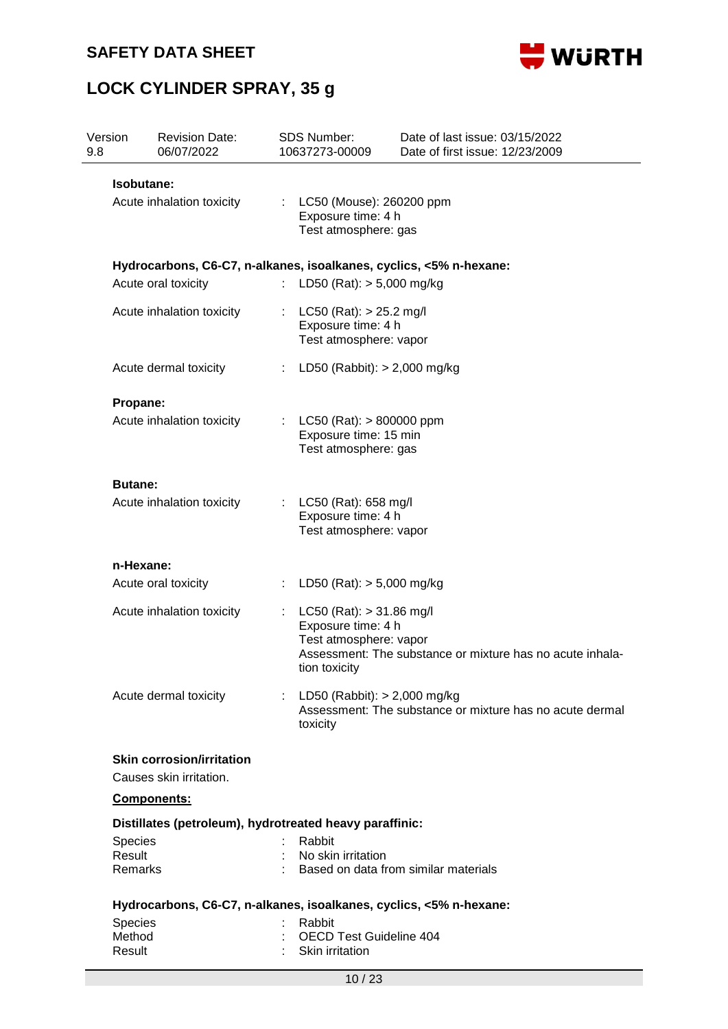



| Version<br>9.8   | <b>Revision Date:</b><br>06/07/2022                         | <b>SDS Number:</b><br>10637273-00009              | Date of last issue: 03/15/2022<br>Date of first issue: 12/23/2009  |
|------------------|-------------------------------------------------------------|---------------------------------------------------|--------------------------------------------------------------------|
| Isobutane:       |                                                             |                                                   |                                                                    |
|                  | Acute inhalation toxicity                                   | : LC50 (Mouse): 260200 ppm                        |                                                                    |
|                  |                                                             | Exposure time: 4 h                                |                                                                    |
|                  |                                                             | Test atmosphere: gas                              |                                                                    |
|                  |                                                             |                                                   | Hydrocarbons, C6-C7, n-alkanes, isoalkanes, cyclics, <5% n-hexane: |
|                  | Acute oral toxicity                                         | LD50 (Rat): $> 5,000$ mg/kg<br>t.                 |                                                                    |
|                  | Acute inhalation toxicity                                   | $LC50$ (Rat): $> 25.2$ mg/l                       |                                                                    |
|                  |                                                             | Exposure time: 4 h                                |                                                                    |
|                  |                                                             | Test atmosphere: vapor                            |                                                                    |
|                  | Acute dermal toxicity                                       | ÷.                                                | LD50 (Rabbit): $> 2,000$ mg/kg                                     |
| Propane:         |                                                             |                                                   |                                                                    |
|                  | Acute inhalation toxicity                                   | : LC50 (Rat): $> 800000$ ppm                      |                                                                    |
|                  |                                                             | Exposure time: 15 min                             |                                                                    |
|                  |                                                             | Test atmosphere: gas                              |                                                                    |
| <b>Butane:</b>   |                                                             |                                                   |                                                                    |
|                  | Acute inhalation toxicity                                   | LC50 (Rat): 658 mg/l                              |                                                                    |
|                  |                                                             | Exposure time: 4 h                                |                                                                    |
|                  |                                                             | Test atmosphere: vapor                            |                                                                    |
| n-Hexane:        |                                                             |                                                   |                                                                    |
|                  | Acute oral toxicity                                         | LD50 (Rat): $> 5,000$ mg/kg<br>÷.                 |                                                                    |
|                  | Acute inhalation toxicity                                   | $LC50$ (Rat): $> 31.86$ mg/l                      |                                                                    |
|                  |                                                             | Exposure time: 4 h<br>Test atmosphere: vapor      |                                                                    |
|                  |                                                             |                                                   | Assessment: The substance or mixture has no acute inhala-          |
|                  |                                                             | tion toxicity                                     |                                                                    |
|                  | Acute dermal toxicity                                       | : LD50 (Rabbit): $> 2,000$ mg/kg                  |                                                                    |
|                  |                                                             | toxicity                                          | Assessment: The substance or mixture has no acute dermal           |
|                  |                                                             |                                                   |                                                                    |
|                  | <b>Skin corrosion/irritation</b><br>Causes skin irritation. |                                                   |                                                                    |
|                  | Components:                                                 |                                                   |                                                                    |
|                  | Distillates (petroleum), hydrotreated heavy paraffinic:     |                                                   |                                                                    |
| <b>Species</b>   |                                                             | Rabbit                                            |                                                                    |
| Result           |                                                             | No skin irritation                                |                                                                    |
| Remarks          |                                                             |                                                   | Based on data from similar materials                               |
|                  |                                                             |                                                   | Hydrocarbons, C6-C7, n-alkanes, isoalkanes, cyclics, <5% n-hexane: |
|                  |                                                             | Rabbit                                            |                                                                    |
| Species          |                                                             |                                                   |                                                                    |
| Method<br>Result |                                                             | <b>OECD Test Guideline 404</b><br>Skin irritation |                                                                    |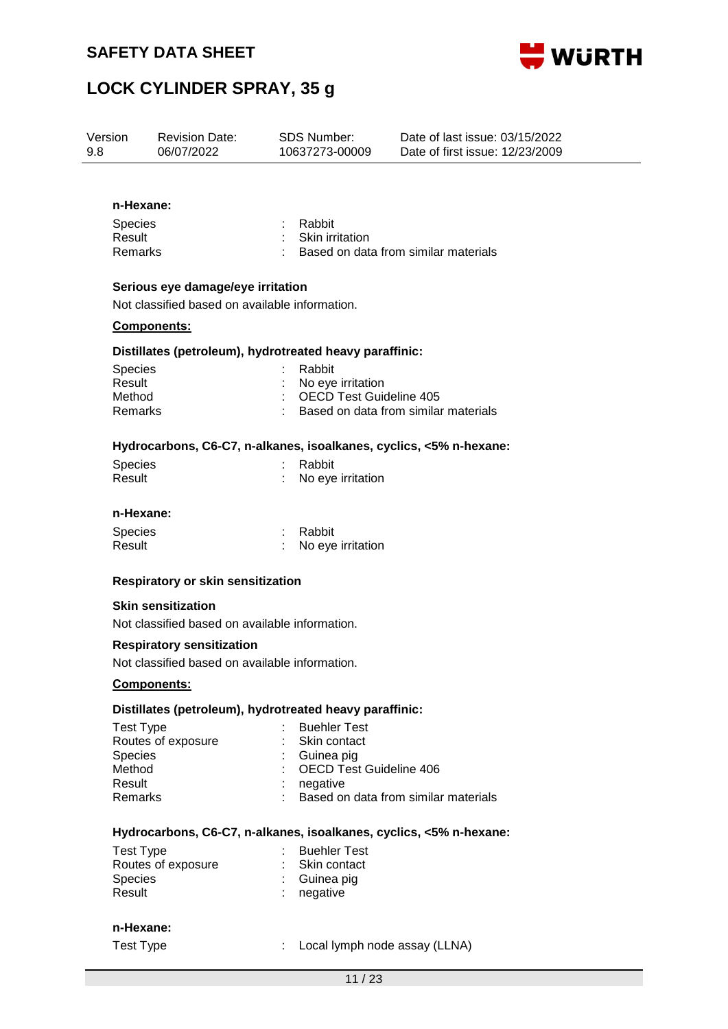



| Version<br>9.8                                          |                                                                                     | <b>Revision Date:</b><br>06/07/2022                                                |  | <b>SDS Number:</b><br>10637273-00009                | Date of last issue: 03/15/2022<br>Date of first issue: 12/23/2009 |
|---------------------------------------------------------|-------------------------------------------------------------------------------------|------------------------------------------------------------------------------------|--|-----------------------------------------------------|-------------------------------------------------------------------|
|                                                         | n-Hexane:                                                                           |                                                                                    |  |                                                     |                                                                   |
|                                                         | <b>Species</b><br>Result<br>Remarks                                                 |                                                                                    |  | Rabbit<br>: Skin irritation                         | Based on data from similar materials                              |
|                                                         | Serious eye damage/eye irritation<br>Not classified based on available information. |                                                                                    |  |                                                     |                                                                   |
|                                                         |                                                                                     | <b>Components:</b>                                                                 |  |                                                     |                                                                   |
| Distillates (petroleum), hydrotreated heavy paraffinic: |                                                                                     |                                                                                    |  |                                                     |                                                                   |
|                                                         | <b>Species</b>                                                                      |                                                                                    |  | Rabbit                                              |                                                                   |
|                                                         | Result<br>Method                                                                    |                                                                                    |  | No eye irritation<br><b>OECD Test Guideline 405</b> |                                                                   |
|                                                         | Remarks                                                                             |                                                                                    |  |                                                     | Based on data from similar materials                              |
|                                                         |                                                                                     | Hydrocarbons, C6-C7, n-alkanes, isoalkanes, cyclics, <5% n-hexane:                 |  |                                                     |                                                                   |
|                                                         | Species<br>Result                                                                   |                                                                                    |  | Rabbit<br>No eye irritation                         |                                                                   |
|                                                         | n-Hexane:                                                                           |                                                                                    |  |                                                     |                                                                   |
|                                                         | <b>Species</b><br>Result                                                            |                                                                                    |  | Rabbit<br>No eye irritation                         |                                                                   |
|                                                         |                                                                                     | Respiratory or skin sensitization                                                  |  |                                                     |                                                                   |
|                                                         |                                                                                     | <b>Skin sensitization</b><br>Not classified based on available information.        |  |                                                     |                                                                   |
|                                                         |                                                                                     | <b>Respiratory sensitization</b><br>Not classified based on available information. |  |                                                     |                                                                   |
|                                                         |                                                                                     | <b>Components:</b>                                                                 |  |                                                     |                                                                   |
|                                                         |                                                                                     | Distillates (petroleum), hydrotreated heavy paraffinic:                            |  |                                                     |                                                                   |
|                                                         | <b>Test Type</b><br><b>Species</b>                                                  | Routes of exposure                                                                 |  | <b>Buehler Test</b><br>Skin contact<br>Guinea pig   |                                                                   |
|                                                         | Method                                                                              |                                                                                    |  | <b>OECD Test Guideline 406</b>                      |                                                                   |
|                                                         | Result                                                                              |                                                                                    |  | negative                                            |                                                                   |
|                                                         | <b>Remarks</b>                                                                      |                                                                                    |  |                                                     | Based on data from similar materials                              |
|                                                         |                                                                                     | Hydrocarbons, C6-C7, n-alkanes, isoalkanes, cyclics, <5% n-hexane:                 |  |                                                     |                                                                   |
|                                                         | <b>Test Type</b>                                                                    |                                                                                    |  | <b>Buehler Test</b>                                 |                                                                   |
|                                                         |                                                                                     | Routes of exposure                                                                 |  | Skin contact                                        |                                                                   |
|                                                         | Species<br>Result                                                                   |                                                                                    |  | Guinea pig<br>negative                              |                                                                   |
|                                                         |                                                                                     |                                                                                    |  |                                                     |                                                                   |

### **n-Hexane:**

Test Type  $\qquad \qquad : \qquad \text{Local lymph node assay (LLNA)}$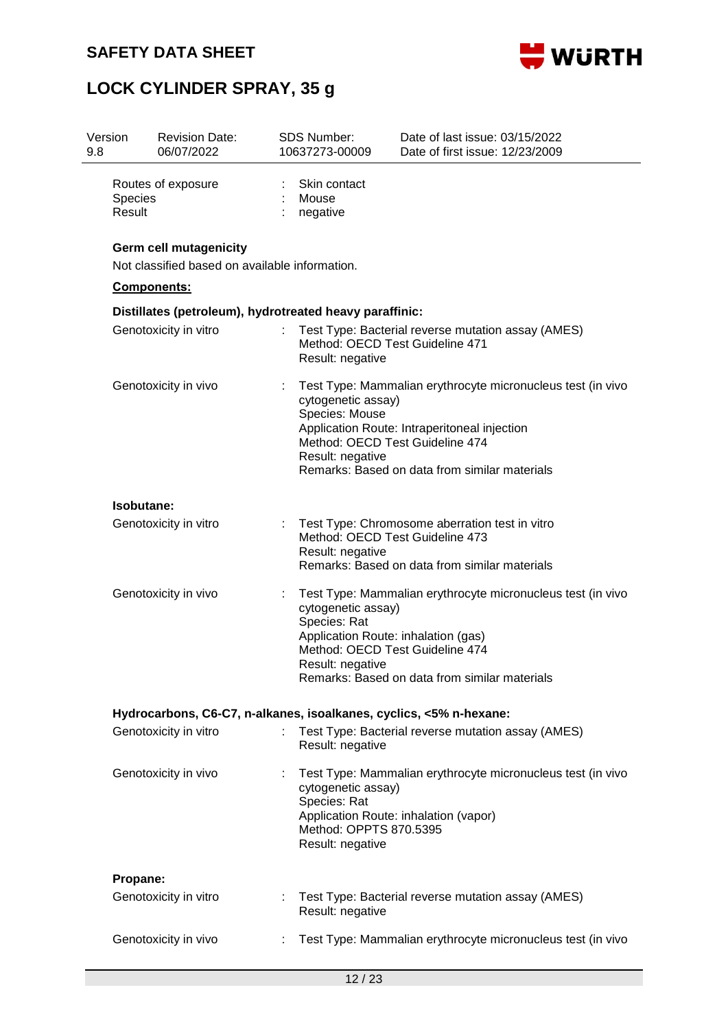



| Version<br>9.8 |                          | <b>Revision Date:</b><br>06/07/2022                                             | <b>SDS Number:</b><br>10637273-00009                                                                                                                                                                                                                        | Date of last issue: 03/15/2022<br>Date of first issue: 12/23/2009                                    |  |  |  |
|----------------|--------------------------|---------------------------------------------------------------------------------|-------------------------------------------------------------------------------------------------------------------------------------------------------------------------------------------------------------------------------------------------------------|------------------------------------------------------------------------------------------------------|--|--|--|
|                | <b>Species</b><br>Result | Routes of exposure                                                              | Skin contact<br>Mouse<br>negative                                                                                                                                                                                                                           |                                                                                                      |  |  |  |
|                |                          | <b>Germ cell mutagenicity</b><br>Not classified based on available information. |                                                                                                                                                                                                                                                             |                                                                                                      |  |  |  |
|                |                          | Components:                                                                     |                                                                                                                                                                                                                                                             |                                                                                                      |  |  |  |
|                |                          | Distillates (petroleum), hydrotreated heavy paraffinic:                         |                                                                                                                                                                                                                                                             |                                                                                                      |  |  |  |
|                |                          | Genotoxicity in vitro                                                           | Result: negative                                                                                                                                                                                                                                            | Test Type: Bacterial reverse mutation assay (AMES)<br>Method: OECD Test Guideline 471                |  |  |  |
|                | Genotoxicity in vivo     |                                                                                 | Test Type: Mammalian erythrocyte micronucleus test (in vivo<br>cytogenetic assay)<br>Species: Mouse<br>Application Route: Intraperitoneal injection<br>Method: OECD Test Guideline 474<br>Result: negative<br>Remarks: Based on data from similar materials |                                                                                                      |  |  |  |
|                | Isobutane:               |                                                                                 |                                                                                                                                                                                                                                                             |                                                                                                      |  |  |  |
|                | Genotoxicity in vitro    |                                                                                 | Test Type: Chromosome aberration test in vitro<br>Method: OECD Test Guideline 473<br>Result: negative<br>Remarks: Based on data from similar materials                                                                                                      |                                                                                                      |  |  |  |
|                | Genotoxicity in vivo     |                                                                                 | Test Type: Mammalian erythrocyte micronucleus test (in vivo<br>cytogenetic assay)<br>Species: Rat<br>Application Route: inhalation (gas)<br>Method: OECD Test Guideline 474<br>Result: negative<br>Remarks: Based on data from similar materials            |                                                                                                      |  |  |  |
|                |                          |                                                                                 |                                                                                                                                                                                                                                                             | Hydrocarbons, C6-C7, n-alkanes, isoalkanes, cyclics, <5% n-hexane:                                   |  |  |  |
|                |                          | Genotoxicity in vitro                                                           | Result: negative                                                                                                                                                                                                                                            | Test Type: Bacterial reverse mutation assay (AMES)                                                   |  |  |  |
|                |                          | Genotoxicity in vivo                                                            | cytogenetic assay)<br>Species: Rat<br>Method: OPPTS 870.5395<br>Result: negative                                                                                                                                                                            | Test Type: Mammalian erythrocyte micronucleus test (in vivo<br>Application Route: inhalation (vapor) |  |  |  |
|                | Propane:                 |                                                                                 |                                                                                                                                                                                                                                                             |                                                                                                      |  |  |  |
|                |                          | Genotoxicity in vitro                                                           | Result: negative                                                                                                                                                                                                                                            | : Test Type: Bacterial reverse mutation assay (AMES)                                                 |  |  |  |
|                | Genotoxicity in vivo     |                                                                                 |                                                                                                                                                                                                                                                             | Test Type: Mammalian erythrocyte micronucleus test (in vivo                                          |  |  |  |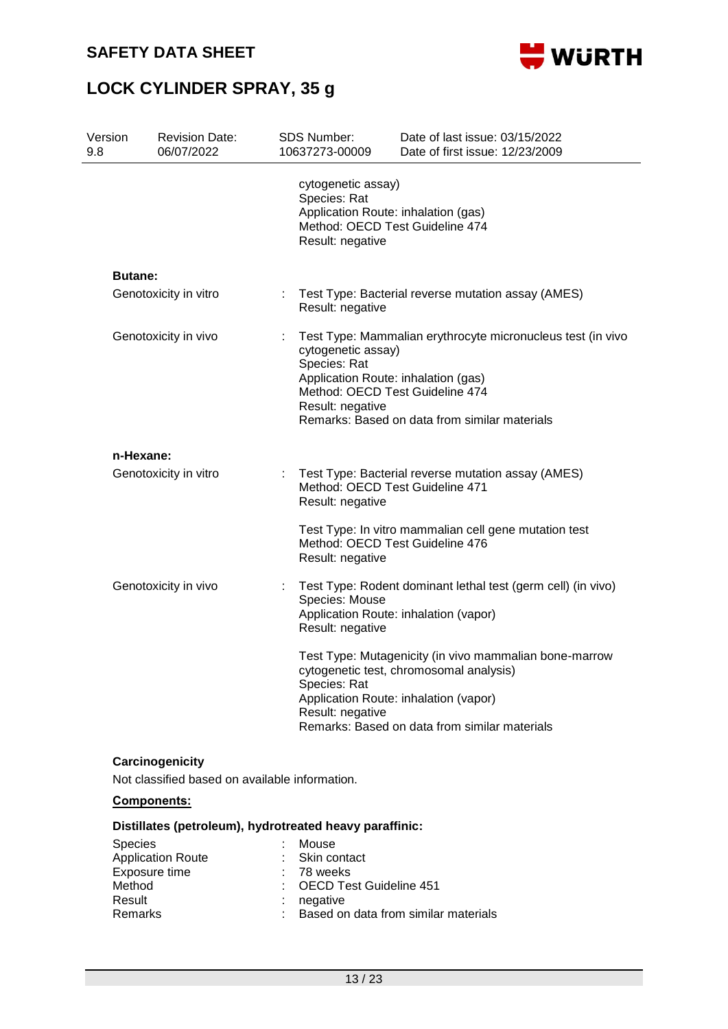



| Version<br>9.8 | <b>Revision Date:</b><br>06/07/2022                               | <b>SDS Number:</b> | 10637273-00009                                                                                                                                                                                                                                   | Date of last issue: 03/15/2022<br>Date of first issue: 12/23/2009                                                                                                                           |  |
|----------------|-------------------------------------------------------------------|--------------------|--------------------------------------------------------------------------------------------------------------------------------------------------------------------------------------------------------------------------------------------------|---------------------------------------------------------------------------------------------------------------------------------------------------------------------------------------------|--|
|                |                                                                   |                    | cytogenetic assay)<br>Species: Rat<br>Result: negative                                                                                                                                                                                           | Application Route: inhalation (gas)<br>Method: OECD Test Guideline 474                                                                                                                      |  |
| <b>Butane:</b> |                                                                   |                    |                                                                                                                                                                                                                                                  |                                                                                                                                                                                             |  |
|                | Genotoxicity in vitro                                             | ÷.                 | Result: negative                                                                                                                                                                                                                                 | Test Type: Bacterial reverse mutation assay (AMES)                                                                                                                                          |  |
|                | Genotoxicity in vivo                                              |                    | Test Type: Mammalian erythrocyte micronucleus test (in vivo<br>cytogenetic assay)<br>Species: Rat<br>Application Route: inhalation (gas)<br>Method: OECD Test Guideline 474<br>Result: negative<br>Remarks: Based on data from similar materials |                                                                                                                                                                                             |  |
| n-Hexane:      |                                                                   |                    |                                                                                                                                                                                                                                                  |                                                                                                                                                                                             |  |
|                | Genotoxicity in vitro                                             | ÷.                 | Result: negative                                                                                                                                                                                                                                 | Test Type: Bacterial reverse mutation assay (AMES)<br>Method: OECD Test Guideline 471                                                                                                       |  |
|                |                                                                   |                    | Result: negative                                                                                                                                                                                                                                 | Test Type: In vitro mammalian cell gene mutation test<br>Method: OECD Test Guideline 476                                                                                                    |  |
|                | Genotoxicity in vivo                                              |                    | Species: Mouse<br>Result: negative                                                                                                                                                                                                               | Test Type: Rodent dominant lethal test (germ cell) (in vivo)<br>Application Route: inhalation (vapor)                                                                                       |  |
|                |                                                                   |                    | Species: Rat<br>Result: negative                                                                                                                                                                                                                 | Test Type: Mutagenicity (in vivo mammalian bone-marrow<br>cytogenetic test, chromosomal analysis)<br>Application Route: inhalation (vapor)<br>Remarks: Based on data from similar materials |  |
|                | Carcinogenicity<br>Not classified based on available information. |                    |                                                                                                                                                                                                                                                  |                                                                                                                                                                                             |  |
|                | <b>Components:</b>                                                |                    |                                                                                                                                                                                                                                                  |                                                                                                                                                                                             |  |
|                | Distillates (petroleum), hydrotreated heavy paraffinic:           |                    |                                                                                                                                                                                                                                                  |                                                                                                                                                                                             |  |
| <b>Species</b> | <b>Application Route</b><br>Exposure time                         | Mouse              | Skin contact<br>78 weeks                                                                                                                                                                                                                         |                                                                                                                                                                                             |  |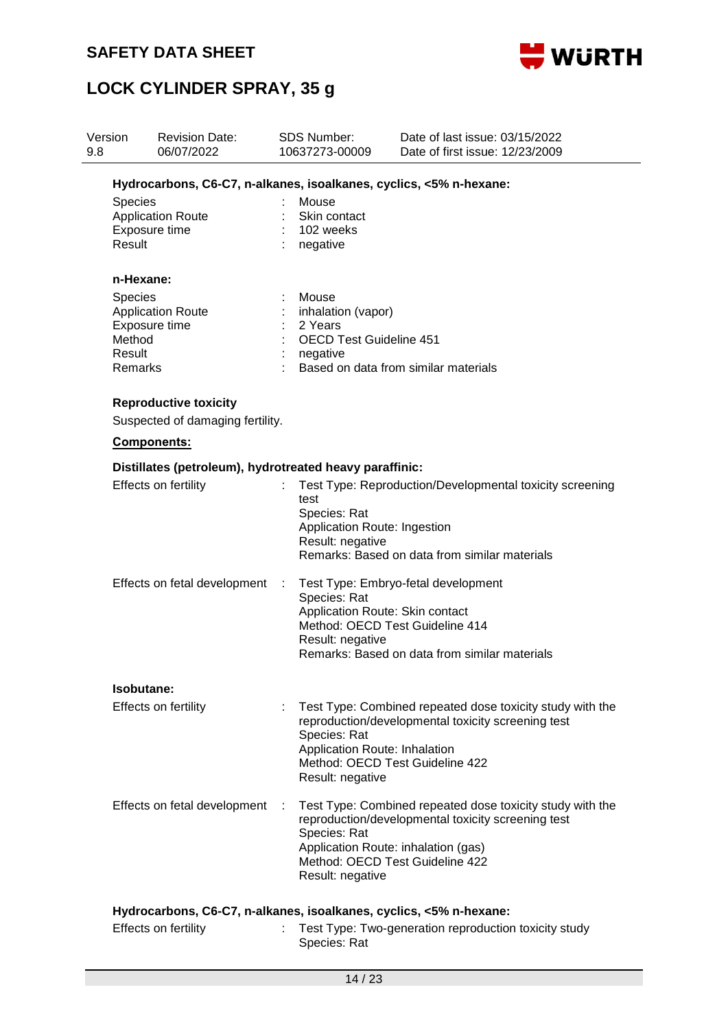



| 9.8 | Version                                                                                    | <b>Revision Date:</b><br>06/07/2022                                | <b>SDS Number:</b><br>10637273-00009                                                 |                                                                                                                                                                                                | Date of last issue: 03/15/2022<br>Date of first issue: 12/23/2009                                                                                                                         |  |  |  |
|-----|--------------------------------------------------------------------------------------------|--------------------------------------------------------------------|--------------------------------------------------------------------------------------|------------------------------------------------------------------------------------------------------------------------------------------------------------------------------------------------|-------------------------------------------------------------------------------------------------------------------------------------------------------------------------------------------|--|--|--|
|     |                                                                                            | Hydrocarbons, C6-C7, n-alkanes, isoalkanes, cyclics, <5% n-hexane: |                                                                                      |                                                                                                                                                                                                |                                                                                                                                                                                           |  |  |  |
|     | <b>Species</b><br><b>Application Route</b><br>Exposure time<br>Result                      |                                                                    | Mouse<br>Skin contact<br>102 weeks<br>negative                                       |                                                                                                                                                                                                |                                                                                                                                                                                           |  |  |  |
|     | n-Hexane:                                                                                  |                                                                    |                                                                                      |                                                                                                                                                                                                |                                                                                                                                                                                           |  |  |  |
|     | <b>Species</b><br><b>Application Route</b><br>Exposure time<br>Method<br>Result<br>Remarks |                                                                    | Mouse<br>inhalation (vapor)<br>2 Years<br><b>OECD Test Guideline 451</b><br>negative |                                                                                                                                                                                                | Based on data from similar materials                                                                                                                                                      |  |  |  |
|     | <b>Reproductive toxicity</b><br>Suspected of damaging fertility.                           |                                                                    |                                                                                      |                                                                                                                                                                                                |                                                                                                                                                                                           |  |  |  |
|     | Components:                                                                                |                                                                    |                                                                                      |                                                                                                                                                                                                |                                                                                                                                                                                           |  |  |  |
|     |                                                                                            | Distillates (petroleum), hydrotreated heavy paraffinic:            |                                                                                      |                                                                                                                                                                                                |                                                                                                                                                                                           |  |  |  |
|     | Effects on fertility                                                                       |                                                                    | test<br>Species: Rat<br>Application Route: Ingestion<br>Result: negative             |                                                                                                                                                                                                | Test Type: Reproduction/Developmental toxicity screening<br>Remarks: Based on data from similar materials                                                                                 |  |  |  |
|     | Effects on fetal development                                                               |                                                                    | ÷                                                                                    | Test Type: Embryo-fetal development<br>Species: Rat<br>Application Route: Skin contact<br>Method: OECD Test Guideline 414<br>Result: negative<br>Remarks: Based on data from similar materials |                                                                                                                                                                                           |  |  |  |
|     | Isobutane:                                                                                 |                                                                    |                                                                                      |                                                                                                                                                                                                |                                                                                                                                                                                           |  |  |  |
|     | Effects on fertility                                                                       |                                                                    | Species: Rat<br>Result: negative                                                     |                                                                                                                                                                                                | Test Type: Combined repeated dose toxicity study with the<br>reproduction/developmental toxicity screening test<br>Application Route: Inhalation<br>Method: OECD Test Guideline 422       |  |  |  |
|     |                                                                                            | Effects on fetal development                                       | Species: Rat<br>Result: negative                                                     |                                                                                                                                                                                                | Test Type: Combined repeated dose toxicity study with the<br>reproduction/developmental toxicity screening test<br>Application Route: inhalation (gas)<br>Method: OECD Test Guideline 422 |  |  |  |
|     |                                                                                            | Hydrocarbons, C6-C7, n-alkanes, isoalkanes, cyclics, <5% n-hexane: |                                                                                      |                                                                                                                                                                                                |                                                                                                                                                                                           |  |  |  |
|     | Effects on fertility                                                                       |                                                                    | Species: Rat                                                                         |                                                                                                                                                                                                | Test Type: Two-generation reproduction toxicity study                                                                                                                                     |  |  |  |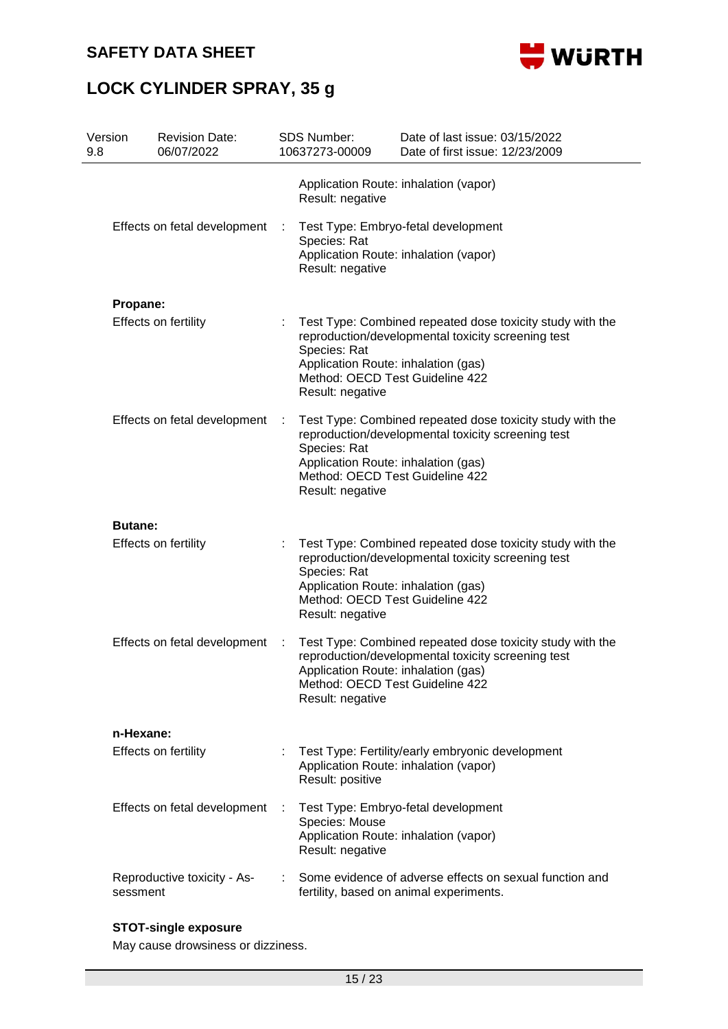

# **LOCK CYLINDER SPRAY, 35 g**

| Version<br>9.8 | <b>Revision Date:</b><br>06/07/2022     |   | SDS Number:<br>10637273-00009                                                                                                                                                                                                 | Date of last issue: 03/15/2022<br>Date of first issue: 12/23/2009                                                                                  |  |  |  |
|----------------|-----------------------------------------|---|-------------------------------------------------------------------------------------------------------------------------------------------------------------------------------------------------------------------------------|----------------------------------------------------------------------------------------------------------------------------------------------------|--|--|--|
|                |                                         |   | Result: negative                                                                                                                                                                                                              | Application Route: inhalation (vapor)                                                                                                              |  |  |  |
|                | Effects on fetal development            |   | Species: Rat<br>Result: negative                                                                                                                                                                                              | Test Type: Embryo-fetal development<br>Application Route: inhalation (vapor)                                                                       |  |  |  |
|                | Propane:                                |   |                                                                                                                                                                                                                               |                                                                                                                                                    |  |  |  |
|                | Effects on fertility                    |   | Species: Rat<br>Application Route: inhalation (gas)<br>Result: negative                                                                                                                                                       | Test Type: Combined repeated dose toxicity study with the<br>reproduction/developmental toxicity screening test<br>Method: OECD Test Guideline 422 |  |  |  |
|                | Effects on fetal development            |   | Test Type: Combined repeated dose toxicity study with the<br>reproduction/developmental toxicity screening test<br>Species: Rat<br>Application Route: inhalation (gas)<br>Method: OECD Test Guideline 422<br>Result: negative |                                                                                                                                                    |  |  |  |
|                | <b>Butane:</b>                          |   |                                                                                                                                                                                                                               |                                                                                                                                                    |  |  |  |
|                | Effects on fertility                    | ÷ | Species: Rat<br>Application Route: inhalation (gas)<br>Result: negative                                                                                                                                                       | Test Type: Combined repeated dose toxicity study with the<br>reproduction/developmental toxicity screening test<br>Method: OECD Test Guideline 422 |  |  |  |
|                | Effects on fetal development            |   | Application Route: inhalation (gas)<br>Result: negative                                                                                                                                                                       | Test Type: Combined repeated dose toxicity study with the<br>reproduction/developmental toxicity screening test<br>Method: OECD Test Guideline 422 |  |  |  |
|                | n-Hexane:                               |   |                                                                                                                                                                                                                               |                                                                                                                                                    |  |  |  |
|                | <b>Effects on fertility</b>             |   | Result: positive                                                                                                                                                                                                              | Test Type: Fertility/early embryonic development<br>Application Route: inhalation (vapor)                                                          |  |  |  |
|                | Effects on fetal development            |   | Species: Mouse<br>Result: negative                                                                                                                                                                                            | Test Type: Embryo-fetal development<br>Application Route: inhalation (vapor)                                                                       |  |  |  |
|                | Reproductive toxicity - As-<br>sessment |   |                                                                                                                                                                                                                               | Some evidence of adverse effects on sexual function and<br>fertility, based on animal experiments.                                                 |  |  |  |

### **STOT-single exposure**

May cause drowsiness or dizziness.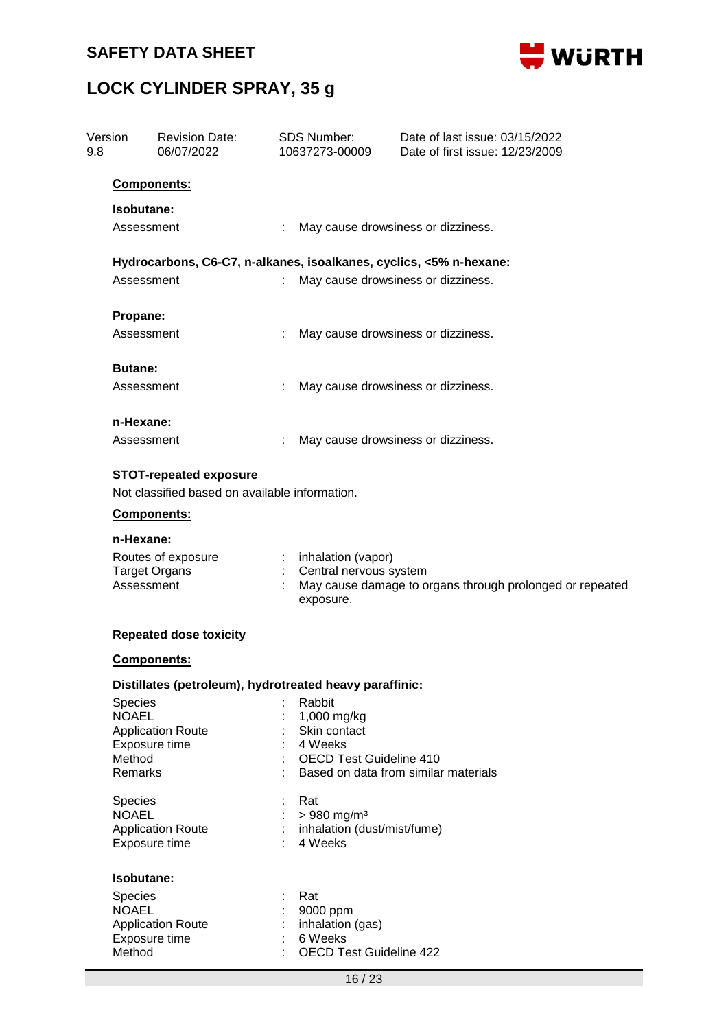

| Version<br>9.8 | <b>Revision Date:</b><br>06/07/2022                      | <b>SDS Number:</b><br>10637273-00009                                                                                  | Date of last issue: 03/15/2022<br>Date of first issue: 12/23/2009  |  |  |  |  |  |  |
|----------------|----------------------------------------------------------|-----------------------------------------------------------------------------------------------------------------------|--------------------------------------------------------------------|--|--|--|--|--|--|
|                | <b>Components:</b>                                       |                                                                                                                       |                                                                    |  |  |  |  |  |  |
|                | Isobutane:                                               |                                                                                                                       |                                                                    |  |  |  |  |  |  |
|                | Assessment                                               |                                                                                                                       | May cause drowsiness or dizziness.                                 |  |  |  |  |  |  |
|                |                                                          |                                                                                                                       | Hydrocarbons, C6-C7, n-alkanes, isoalkanes, cyclics, <5% n-hexane: |  |  |  |  |  |  |
|                | Assessment                                               |                                                                                                                       | May cause drowsiness or dizziness.                                 |  |  |  |  |  |  |
| Propane:       |                                                          |                                                                                                                       |                                                                    |  |  |  |  |  |  |
|                | Assessment                                               |                                                                                                                       | May cause drowsiness or dizziness.                                 |  |  |  |  |  |  |
| <b>Butane:</b> |                                                          |                                                                                                                       |                                                                    |  |  |  |  |  |  |
|                | Assessment                                               |                                                                                                                       | May cause drowsiness or dizziness.                                 |  |  |  |  |  |  |
|                | n-Hexane:                                                |                                                                                                                       |                                                                    |  |  |  |  |  |  |
|                | Assessment                                               |                                                                                                                       | May cause drowsiness or dizziness.                                 |  |  |  |  |  |  |
|                | <b>STOT-repeated exposure</b>                            |                                                                                                                       |                                                                    |  |  |  |  |  |  |
|                | Not classified based on available information.           |                                                                                                                       |                                                                    |  |  |  |  |  |  |
|                | <b>Components:</b>                                       |                                                                                                                       |                                                                    |  |  |  |  |  |  |
|                | n-Hexane:                                                |                                                                                                                       |                                                                    |  |  |  |  |  |  |
|                | Routes of exposure<br><b>Target Organs</b><br>Assessment | inhalation (vapor)<br>Central nervous system<br>May cause damage to organs through prolonged or repeated<br>exposure. |                                                                    |  |  |  |  |  |  |
|                | <b>Repeated dose toxicity</b>                            |                                                                                                                       |                                                                    |  |  |  |  |  |  |
|                | Components:                                              |                                                                                                                       |                                                                    |  |  |  |  |  |  |
|                |                                                          | Distillates (petroleum), hydrotreated heavy paraffinic:                                                               |                                                                    |  |  |  |  |  |  |
| Species        |                                                          | Rabbit                                                                                                                |                                                                    |  |  |  |  |  |  |
| <b>NOAEL</b>   |                                                          | 1,000 mg/kg                                                                                                           |                                                                    |  |  |  |  |  |  |
|                | <b>Application Route</b><br>Exposure time                | Skin contact<br>4 Weeks                                                                                               |                                                                    |  |  |  |  |  |  |
| Method         |                                                          | <b>OECD Test Guideline 410</b>                                                                                        |                                                                    |  |  |  |  |  |  |
| Remarks        |                                                          |                                                                                                                       | Based on data from similar materials                               |  |  |  |  |  |  |
| Species        |                                                          | Rat                                                                                                                   |                                                                    |  |  |  |  |  |  |
| <b>NOAEL</b>   |                                                          | $> 980$ mg/m <sup>3</sup><br>inhalation (dust/mist/fume)                                                              |                                                                    |  |  |  |  |  |  |
|                | <b>Application Route</b><br>Exposure time                | 4 Weeks                                                                                                               |                                                                    |  |  |  |  |  |  |
|                | Isobutane:                                               |                                                                                                                       |                                                                    |  |  |  |  |  |  |
| Species        |                                                          | Rat                                                                                                                   |                                                                    |  |  |  |  |  |  |
| <b>NOAEL</b>   |                                                          | 9000 ppm                                                                                                              |                                                                    |  |  |  |  |  |  |
|                | <b>Application Route</b>                                 | inhalation (gas)                                                                                                      |                                                                    |  |  |  |  |  |  |
|                | Exposure time                                            | 6 Weeks                                                                                                               |                                                                    |  |  |  |  |  |  |
| Method         |                                                          | <b>OECD Test Guideline 422</b>                                                                                        |                                                                    |  |  |  |  |  |  |
|                |                                                          | 16/23                                                                                                                 |                                                                    |  |  |  |  |  |  |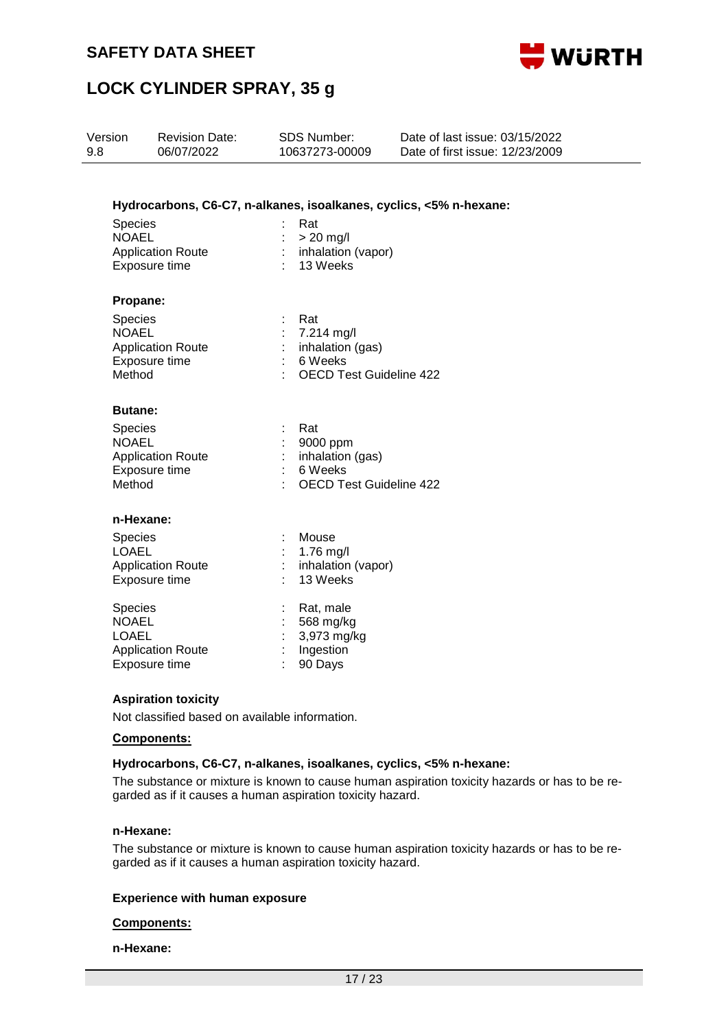



| Version<br>9.8 |                                                                                                  | <b>Revision Date:</b><br>06/07/2022       | <b>SDS Number:</b><br>10637273-00009 |                                                                                  | Date of last issue: 03/15/2022<br>Date of first issue: 12/23/2009  |  |  |
|----------------|--------------------------------------------------------------------------------------------------|-------------------------------------------|--------------------------------------|----------------------------------------------------------------------------------|--------------------------------------------------------------------|--|--|
|                |                                                                                                  |                                           |                                      |                                                                                  | Hydrocarbons, C6-C7, n-alkanes, isoalkanes, cyclics, <5% n-hexane: |  |  |
|                | Species<br><b>NOAEL</b><br><b>Application Route</b><br>Exposure time                             |                                           |                                      | Rat<br>$> 20$ mg/l<br>inhalation (vapor)<br>13 Weeks                             |                                                                    |  |  |
|                | Propane:<br>Species<br><b>NOAEL</b><br>Method                                                    | <b>Application Route</b><br>Exposure time | ÷                                    | Rat<br>7.214 mg/l<br>inhalation (gas)<br>6 Weeks<br>OECD Test Guideline 422      |                                                                    |  |  |
|                | <b>Butane:</b><br>Species<br><b>NOAEL</b><br><b>Application Route</b><br>Exposure time<br>Method |                                           |                                      | Rat<br>9000 ppm<br>inhalation (gas)<br>6 Weeks<br><b>OECD Test Guideline 422</b> |                                                                    |  |  |
|                | n-Hexane:<br><b>Species</b><br><b>LOAEL</b>                                                      | <b>Application Route</b><br>Exposure time |                                      | Mouse<br>1.76 mg/l<br>inhalation (vapor)<br>13 Weeks                             |                                                                    |  |  |
|                | Species<br><b>NOAEL</b><br><b>LOAEL</b>                                                          | <b>Application Route</b><br>Exposure time |                                      | Rat, male<br>568 mg/kg<br>3,973 mg/kg<br>Ingestion<br>90 Days                    |                                                                    |  |  |
|                |                                                                                                  | <b>Aspiration toxicity</b>                |                                      |                                                                                  |                                                                    |  |  |

Not classified based on available information.

#### **Components:**

#### **Hydrocarbons, C6-C7, n-alkanes, isoalkanes, cyclics, <5% n-hexane:**

The substance or mixture is known to cause human aspiration toxicity hazards or has to be regarded as if it causes a human aspiration toxicity hazard.

#### **n-Hexane:**

The substance or mixture is known to cause human aspiration toxicity hazards or has to be regarded as if it causes a human aspiration toxicity hazard.

#### **Experience with human exposure**

#### **Components:**

#### **n-Hexane:**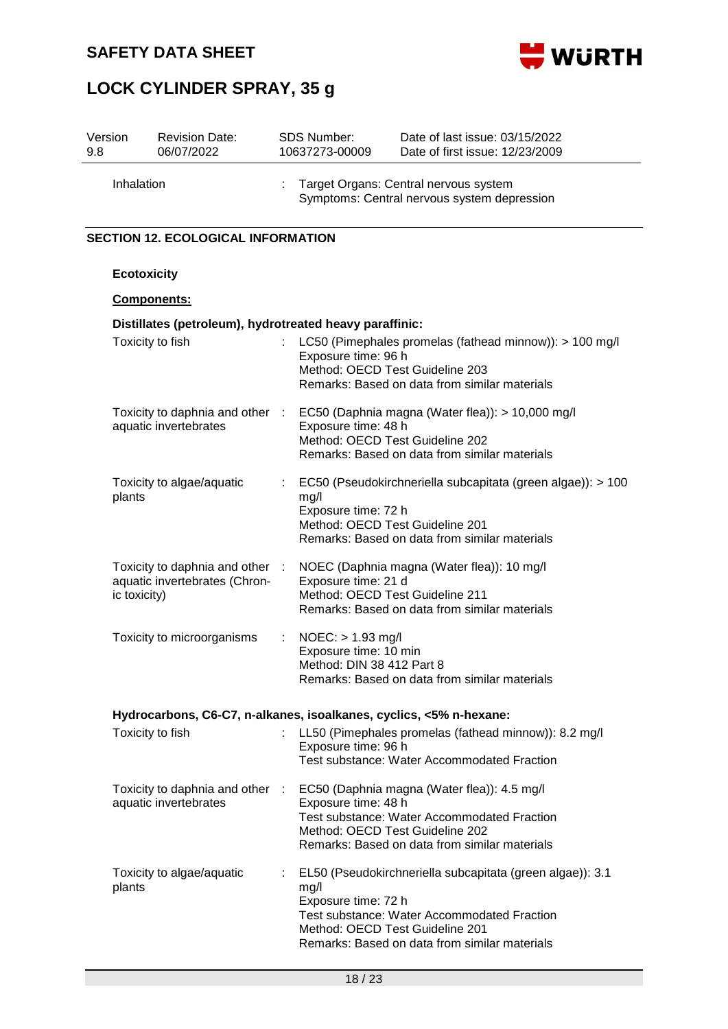



| 9.8 | Version                                   | <b>Revision Date:</b><br>06/07/2022                            |                                                                    | <b>SDS Number:</b><br>10637273-00009                                                 | Date of last issue: 03/15/2022<br>Date of first issue: 12/23/2009                                                                                                                            |  |  |  |
|-----|-------------------------------------------|----------------------------------------------------------------|--------------------------------------------------------------------|--------------------------------------------------------------------------------------|----------------------------------------------------------------------------------------------------------------------------------------------------------------------------------------------|--|--|--|
|     | Inhalation                                |                                                                |                                                                    | Target Organs: Central nervous system<br>Symptoms: Central nervous system depression |                                                                                                                                                                                              |  |  |  |
|     | <b>SECTION 12. ECOLOGICAL INFORMATION</b> |                                                                |                                                                    |                                                                                      |                                                                                                                                                                                              |  |  |  |
|     | <b>Ecotoxicity</b>                        |                                                                |                                                                    |                                                                                      |                                                                                                                                                                                              |  |  |  |
|     | Components:                               |                                                                |                                                                    |                                                                                      |                                                                                                                                                                                              |  |  |  |
|     |                                           | Distillates (petroleum), hydrotreated heavy paraffinic:        |                                                                    |                                                                                      |                                                                                                                                                                                              |  |  |  |
|     | Toxicity to fish                          |                                                                | ÷.                                                                 | Exposure time: 96 h                                                                  | LC50 (Pimephales promelas (fathead minnow)): > 100 mg/l<br>Method: OECD Test Guideline 203<br>Remarks: Based on data from similar materials                                                  |  |  |  |
|     |                                           | Toxicity to daphnia and other :<br>aquatic invertebrates       |                                                                    | Exposure time: 48 h                                                                  | EC50 (Daphnia magna (Water flea)): > 10,000 mg/l<br>Method: OECD Test Guideline 202<br>Remarks: Based on data from similar materials                                                         |  |  |  |
|     | plants                                    | Toxicity to algae/aquatic                                      |                                                                    | mg/l<br>Exposure time: 72 h                                                          | EC50 (Pseudokirchneriella subcapitata (green algae)): > 100<br>Method: OECD Test Guideline 201<br>Remarks: Based on data from similar materials                                              |  |  |  |
|     | ic toxicity)                              | Toxicity to daphnia and other<br>aquatic invertebrates (Chron- | $\ddot{\phantom{a}}$                                               | Exposure time: 21 d                                                                  | NOEC (Daphnia magna (Water flea)): 10 mg/l<br>Method: OECD Test Guideline 211<br>Remarks: Based on data from similar materials                                                               |  |  |  |
|     |                                           | Toxicity to microorganisms                                     |                                                                    | $NOEC:$ > 1.93 mg/l<br>Exposure time: 10 min<br>Method: DIN 38 412 Part 8            | Remarks: Based on data from similar materials                                                                                                                                                |  |  |  |
|     |                                           |                                                                | Hydrocarbons, C6-C7, n-alkanes, isoalkanes, cyclics, <5% n-hexane: |                                                                                      |                                                                                                                                                                                              |  |  |  |
|     | Toxicity to fish                          |                                                                |                                                                    | Exposure time: 96 h                                                                  | : LL50 (Pimephales promelas (fathead minnow)): 8.2 mg/l<br>Test substance: Water Accommodated Fraction                                                                                       |  |  |  |
|     |                                           | Toxicity to daphnia and other :<br>aquatic invertebrates       |                                                                    | Exposure time: 48 h                                                                  | EC50 (Daphnia magna (Water flea)): 4.5 mg/l<br>Test substance: Water Accommodated Fraction<br>Method: OECD Test Guideline 202<br>Remarks: Based on data from similar materials               |  |  |  |
|     | plants                                    | Toxicity to algae/aquatic                                      |                                                                    | mg/l<br>Exposure time: 72 h                                                          | EL50 (Pseudokirchneriella subcapitata (green algae)): 3.1<br>Test substance: Water Accommodated Fraction<br>Method: OECD Test Guideline 201<br>Remarks: Based on data from similar materials |  |  |  |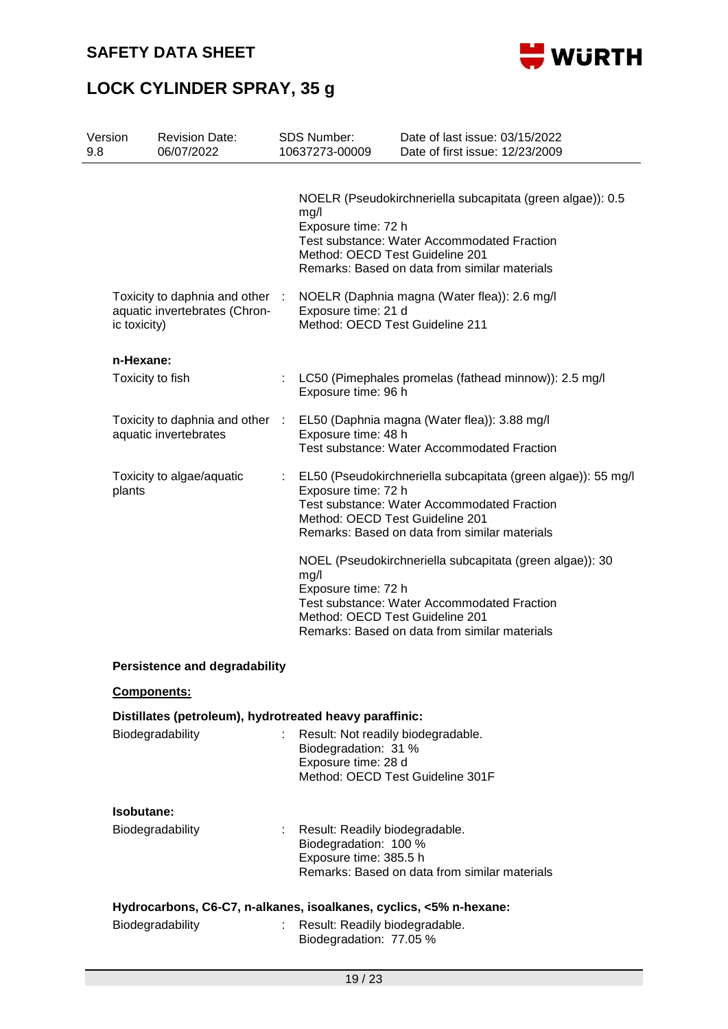



| Version<br>9.8 | <b>Revision Date:</b><br>06/07/2022                                                    |                           | SDS Number:<br>10637273-00009                                                                          | Date of last issue: 03/15/2022<br>Date of first issue: 12/23/2009                                                                                                                                                                |
|----------------|----------------------------------------------------------------------------------------|---------------------------|--------------------------------------------------------------------------------------------------------|----------------------------------------------------------------------------------------------------------------------------------------------------------------------------------------------------------------------------------|
|                |                                                                                        |                           | mg/l<br>Exposure time: 72 h<br>Method: OECD Test Guideline 201                                         | NOELR (Pseudokirchneriella subcapitata (green algae)): 0.5<br><b>Test substance: Water Accommodated Fraction</b><br>Remarks: Based on data from similar materials                                                                |
|                | Toxicity to daphnia and other<br>aquatic invertebrates (Chron-<br>ic toxicity)         | -1                        | NOELR (Daphnia magna (Water flea)): 2.6 mg/l<br>Exposure time: 21 d<br>Method: OECD Test Guideline 211 |                                                                                                                                                                                                                                  |
|                | n-Hexane:                                                                              |                           |                                                                                                        |                                                                                                                                                                                                                                  |
|                | Toxicity to fish                                                                       |                           | Exposure time: 96 h                                                                                    | LC50 (Pimephales promelas (fathead minnow)): 2.5 mg/l                                                                                                                                                                            |
|                | Toxicity to daphnia and other :<br>aquatic invertebrates                               |                           | Exposure time: 48 h                                                                                    | EL50 (Daphnia magna (Water flea)): 3.88 mg/l<br>Test substance: Water Accommodated Fraction                                                                                                                                      |
| plants         | Toxicity to algae/aquatic                                                              |                           | Exposure time: 72 h<br>Method: OECD Test Guideline 201                                                 | EL50 (Pseudokirchneriella subcapitata (green algae)): 55 mg/l<br><b>Test substance: Water Accommodated Fraction</b><br>Remarks: Based on data from similar materials<br>NOEL (Pseudokirchneriella subcapitata (green algae)): 30 |
|                |                                                                                        |                           | mg/l<br>Exposure time: 72 h<br>Method: OECD Test Guideline 201                                         | <b>Test substance: Water Accommodated Fraction</b><br>Remarks: Based on data from similar materials                                                                                                                              |
|                | <b>Persistence and degradability</b>                                                   |                           |                                                                                                        |                                                                                                                                                                                                                                  |
|                | <b>Components:</b>                                                                     |                           |                                                                                                        |                                                                                                                                                                                                                                  |
|                | Distillates (petroleum), hydrotreated heavy paraffinic:                                |                           |                                                                                                        |                                                                                                                                                                                                                                  |
|                | Biodegradability                                                                       |                           | Result: Not readily biodegradable.<br>Biodegradation: 31 %<br>Exposure time: 28 d                      | Method: OECD Test Guideline 301F                                                                                                                                                                                                 |
|                | Isobutane:                                                                             |                           |                                                                                                        |                                                                                                                                                                                                                                  |
|                | Biodegradability                                                                       |                           | Result: Readily biodegradable.<br>Biodegradation: 100 %<br>Exposure time: 385.5 h                      | Remarks: Based on data from similar materials                                                                                                                                                                                    |
|                | Hydrocarbons, C6-C7, n-alkanes, isoalkanes, cyclics, <5% n-hexane:<br>Biodegradability | $\mathbb{R}^{\mathbb{Z}}$ | Result: Readily biodegradable.<br>Biodegradation: 77.05 %                                              |                                                                                                                                                                                                                                  |
|                |                                                                                        |                           |                                                                                                        |                                                                                                                                                                                                                                  |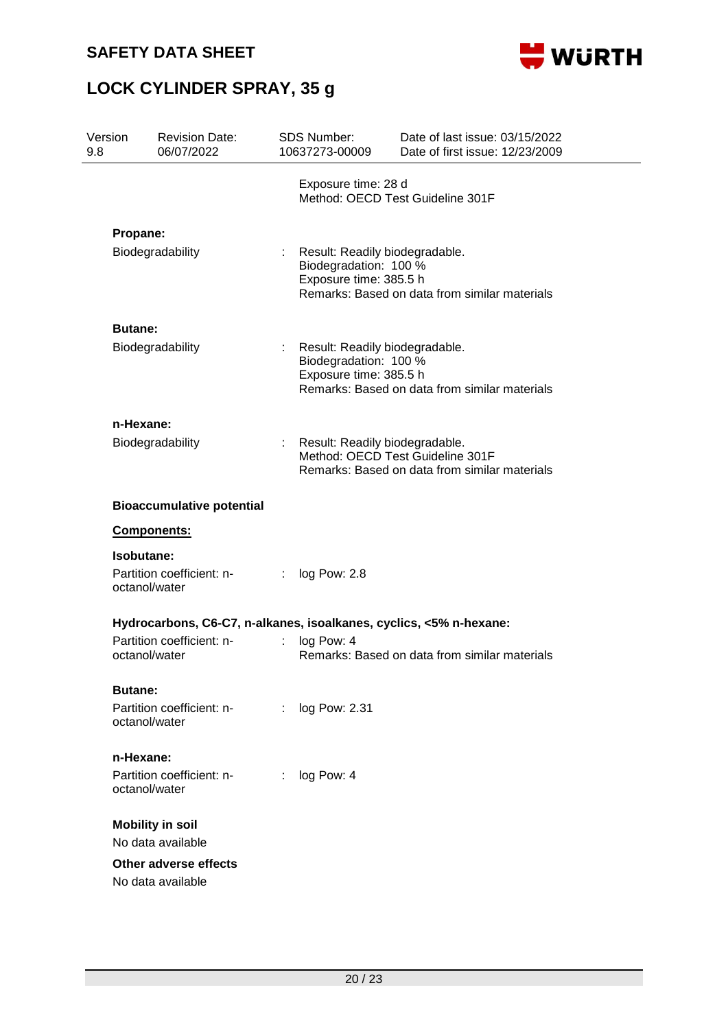

| Version<br>9.8 |                                 | <b>Revision Date:</b><br>06/07/2022                                |   | <b>SDS Number:</b><br>10637273-00009                                              | Date of last issue: 03/15/2022<br>Date of first issue: 12/23/2009                 |
|----------------|---------------------------------|--------------------------------------------------------------------|---|-----------------------------------------------------------------------------------|-----------------------------------------------------------------------------------|
|                |                                 |                                                                    |   | Exposure time: 28 d                                                               | Method: OECD Test Guideline 301F                                                  |
|                | Propane:                        | Biodegradability                                                   |   | Result: Readily biodegradable.<br>Biodegradation: 100 %<br>Exposure time: 385.5 h | Remarks: Based on data from similar materials                                     |
|                | <b>Butane:</b>                  |                                                                    |   |                                                                                   |                                                                                   |
|                |                                 | Biodegradability                                                   |   | Result: Readily biodegradable.<br>Biodegradation: 100 %<br>Exposure time: 385.5 h | Remarks: Based on data from similar materials                                     |
|                | n-Hexane:                       |                                                                    |   |                                                                                   |                                                                                   |
|                |                                 | Biodegradability                                                   |   | Result: Readily biodegradable.                                                    | Method: OECD Test Guideline 301F<br>Remarks: Based on data from similar materials |
|                |                                 | <b>Bioaccumulative potential</b>                                   |   |                                                                                   |                                                                                   |
|                | Components:                     |                                                                    |   |                                                                                   |                                                                                   |
|                | Isobutane:<br>octanol/water     | Partition coefficient: n-                                          | ÷ | log Pow: 2.8                                                                      |                                                                                   |
|                |                                 | Hydrocarbons, C6-C7, n-alkanes, isoalkanes, cyclics, <5% n-hexane: |   |                                                                                   |                                                                                   |
|                | octanol/water                   | Partition coefficient: n-                                          | ÷ | log Pow: 4                                                                        | Remarks: Based on data from similar materials                                     |
|                | <b>Butane:</b><br>octanol/water | Partition coefficient: n-                                          | ÷ | log Pow: 2.31                                                                     |                                                                                   |
|                | n-Hexane:<br>octanol/water      | Partition coefficient: n-                                          | ÷ | log Pow: 4                                                                        |                                                                                   |
|                |                                 | <b>Mobility in soil</b>                                            |   |                                                                                   |                                                                                   |
|                |                                 | No data available                                                  |   |                                                                                   |                                                                                   |
|                |                                 | Other adverse effects<br>No data available                         |   |                                                                                   |                                                                                   |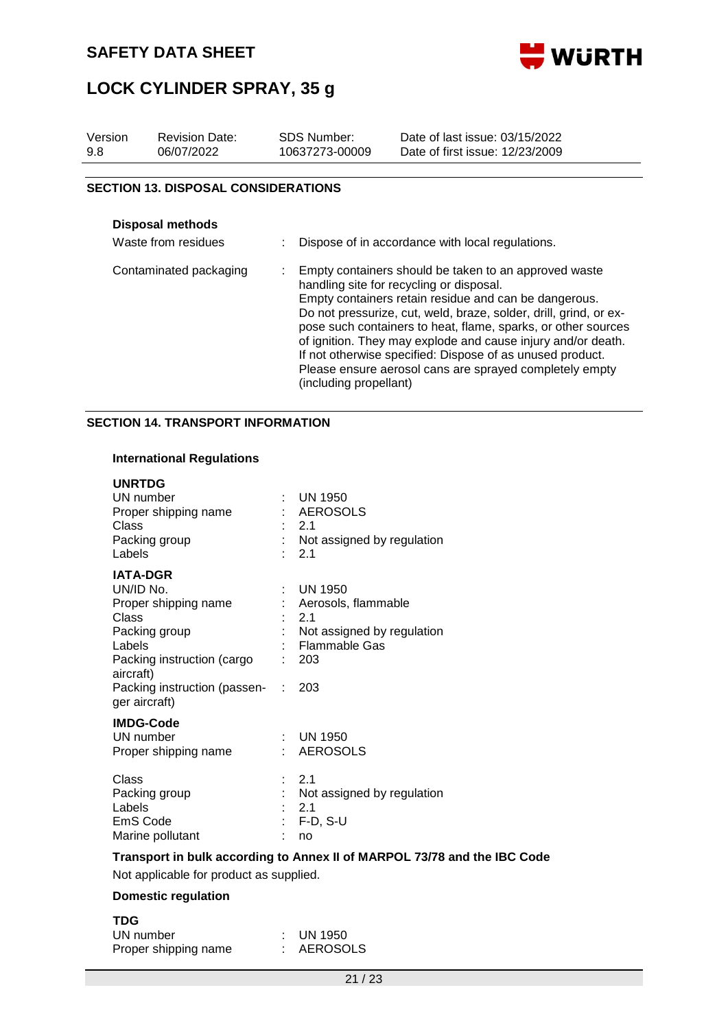



| Version<br>9.8         | <b>Revision Date:</b><br>06/07/2022        | <b>SDS Number:</b><br>10637273-00009 | Date of last issue: 03/15/2022<br>Date of first issue: 12/23/2009                                                                                                                                                                                                                                                                                                                                                                                                                        |
|------------------------|--------------------------------------------|--------------------------------------|------------------------------------------------------------------------------------------------------------------------------------------------------------------------------------------------------------------------------------------------------------------------------------------------------------------------------------------------------------------------------------------------------------------------------------------------------------------------------------------|
|                        | <b>SECTION 13. DISPOSAL CONSIDERATIONS</b> |                                      |                                                                                                                                                                                                                                                                                                                                                                                                                                                                                          |
|                        | Disposal methods<br>Waste from residues    |                                      | Dispose of in accordance with local regulations.                                                                                                                                                                                                                                                                                                                                                                                                                                         |
| Contaminated packaging |                                            | (including propellant)               | Empty containers should be taken to an approved waste<br>handling site for recycling or disposal.<br>Empty containers retain residue and can be dangerous.<br>Do not pressurize, cut, weld, braze, solder, drill, grind, or ex-<br>pose such containers to heat, flame, sparks, or other sources<br>of ignition. They may explode and cause injury and/or death.<br>If not otherwise specified: Dispose of as unused product.<br>Please ensure aerosol cans are sprayed completely empty |

### **SECTION 14. TRANSPORT INFORMATION**

### **International Regulations**

| <b>UNRTDG</b>                           |                                                                          |
|-----------------------------------------|--------------------------------------------------------------------------|
| UN number                               | <b>UN 1950</b>                                                           |
| Proper shipping name                    | : AEROSOLS                                                               |
| Class                                   | 2.1                                                                      |
| Packing group                           | : Not assigned by regulation                                             |
| Labels                                  | 2.1                                                                      |
| <b>IATA-DGR</b>                         |                                                                          |
| UN/ID No.                               | UN 1950                                                                  |
| Proper shipping name                    | : Aerosols, flammable                                                    |
| Class                                   | 2.1                                                                      |
| Packing group                           | Not assigned by regulation                                               |
| Labels                                  | <b>Flammable Gas</b>                                                     |
| Packing instruction (cargo              | 203                                                                      |
| aircraft)                               |                                                                          |
| Packing instruction (passen- :          | 203                                                                      |
| ger aircraft)                           |                                                                          |
| <b>IMDG-Code</b>                        |                                                                          |
| UN number                               | $\therefore$ UN 1950                                                     |
| Proper shipping name                    | : AEROSOLS                                                               |
|                                         |                                                                          |
| Class                                   | : 2.1                                                                    |
| Packing group                           | : Not assigned by regulation                                             |
| Labels                                  | 2.1                                                                      |
| EmS Code                                | : F-D, S-U                                                               |
| Marine pollutant                        | no                                                                       |
|                                         |                                                                          |
|                                         | Transport in bulk according to Annex II of MARPOL 73/78 and the IBC Code |
| Not applicable for product as supplied. |                                                                          |

### **Domestic regulation**

| <b>TDG</b>           |                      |
|----------------------|----------------------|
| UN number            | $\therefore$ UN 1950 |
| Proper shipping name | : AEROSOLS           |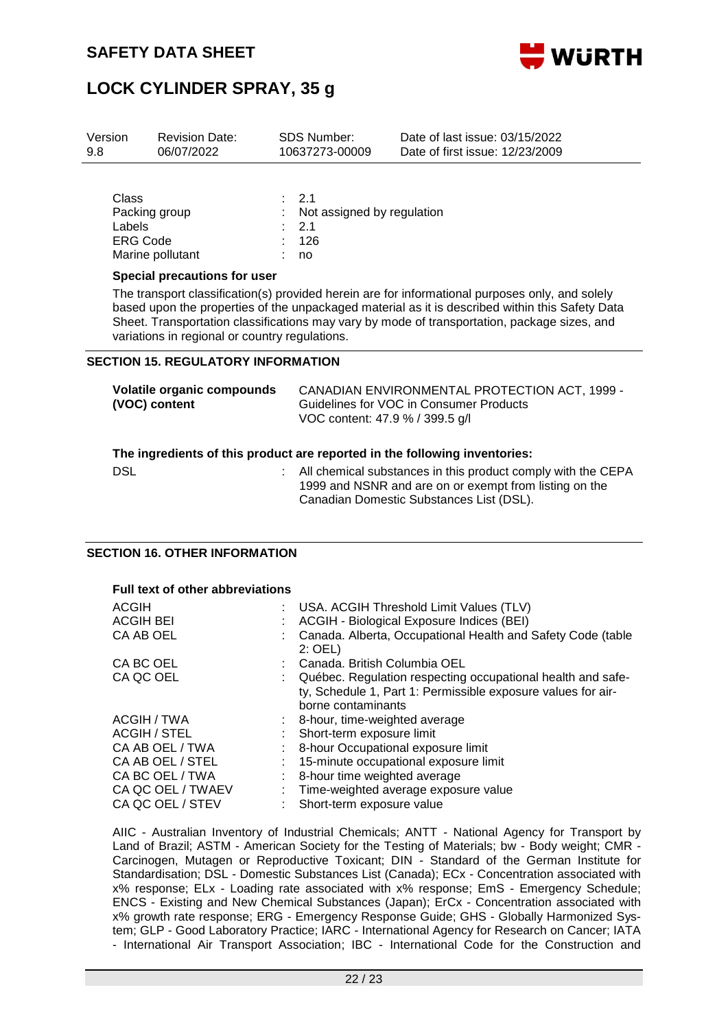

| Version<br>9.8 | <b>Revision Date:</b><br>06/07/2022 | <b>SDS Number:</b><br>10637273-00009  | Date of last issue: 03/15/2022<br>Date of first issue: 12/23/2009 |
|----------------|-------------------------------------|---------------------------------------|-------------------------------------------------------------------|
| Class          |                                     | $\cdot$ 21                            |                                                                   |
| Labels         | Packing group                       | : Not assigned by regulation<br>: 2.1 |                                                                   |
| ERG Code       |                                     | : 126                                 |                                                                   |

#### **Special precautions for user**

Marine pollutant : no

The transport classification(s) provided herein are for informational purposes only, and solely based upon the properties of the unpackaged material as it is described within this Safety Data Sheet. Transportation classifications may vary by mode of transportation, package sizes, and variations in regional or country regulations.

#### **SECTION 15. REGULATORY INFORMATION**

| Volatile organic compounds<br>(VOC) content | CANADIAN ENVIRONMENTAL PROTECTION ACT, 1999 -<br>Guidelines for VOC in Consumer Products<br>VOC content: 47.9 % / 399.5 g/l                                        |
|---------------------------------------------|--------------------------------------------------------------------------------------------------------------------------------------------------------------------|
|                                             | The ingredients of this product are reported in the following inventories:                                                                                         |
| <b>DSL</b>                                  | All chemical substances in this product comply with the CEPA<br>1999 and NSNR and are on or exempt from listing on the<br>Canadian Domestic Substances List (DSL). |

#### **SECTION 16. OTHER INFORMATION**

| <b>Full text of other abbreviations</b> |    |                                                                                                                                                   |  |  |
|-----------------------------------------|----|---------------------------------------------------------------------------------------------------------------------------------------------------|--|--|
| <b>ACGIH</b>                            |    | USA. ACGIH Threshold Limit Values (TLV)                                                                                                           |  |  |
| <b>ACGIH BEI</b>                        |    | ACGIH - Biological Exposure Indices (BEI)                                                                                                         |  |  |
| CA AB OEL                               |    | Canada. Alberta, Occupational Health and Safety Code (table<br>$2:$ OEL)                                                                          |  |  |
| CA BC OEL                               |    | Canada, British Columbia OEL                                                                                                                      |  |  |
| CA QC OEL                               |    | Québec. Regulation respecting occupational health and safe-<br>ty, Schedule 1, Part 1: Permissible exposure values for air-<br>borne contaminants |  |  |
| ACGIH / TWA                             |    | 8-hour, time-weighted average                                                                                                                     |  |  |
| ACGIH / STEL                            |    | Short-term exposure limit                                                                                                                         |  |  |
| CA AB OEL / TWA                         |    | 8-hour Occupational exposure limit                                                                                                                |  |  |
| CA AB OEL / STEL                        |    | 15-minute occupational exposure limit                                                                                                             |  |  |
| CA BC OEL / TWA                         |    | 8-hour time weighted average                                                                                                                      |  |  |
| CA QC OEL / TWAEV                       | t. | Time-weighted average exposure value                                                                                                              |  |  |
| CA QC OEL / STEV                        |    | Short-term exposure value                                                                                                                         |  |  |

AIIC - Australian Inventory of Industrial Chemicals; ANTT - National Agency for Transport by Land of Brazil; ASTM - American Society for the Testing of Materials; bw - Body weight; CMR - Carcinogen, Mutagen or Reproductive Toxicant; DIN - Standard of the German Institute for Standardisation; DSL - Domestic Substances List (Canada); ECx - Concentration associated with x% response; ELx - Loading rate associated with x% response; EmS - Emergency Schedule; ENCS - Existing and New Chemical Substances (Japan); ErCx - Concentration associated with x% growth rate response; ERG - Emergency Response Guide; GHS - Globally Harmonized System; GLP - Good Laboratory Practice; IARC - International Agency for Research on Cancer; IATA - International Air Transport Association; IBC - International Code for the Construction and